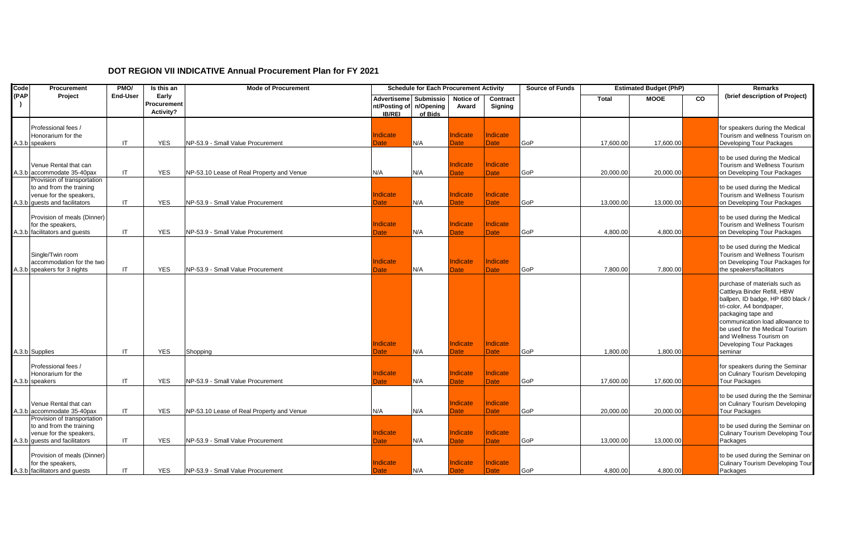## **DOT REGION VII INDICATIVE Annual Procurement Plan for FY 2021**

| Code | Procurement                                                                                                         | PMO/                   | Is this an                        | <b>Mode of Procurement</b>                |                                                      | <b>Schedule for Each Procurement Activity</b> |                                |                         | <b>Source of Funds</b> |              | <b>Estimated Budget (PhP)</b> |    | <b>Remarks</b>                                                                                                                                                                                                                                                                              |
|------|---------------------------------------------------------------------------------------------------------------------|------------------------|-----------------------------------|-------------------------------------------|------------------------------------------------------|-----------------------------------------------|--------------------------------|-------------------------|------------------------|--------------|-------------------------------|----|---------------------------------------------------------------------------------------------------------------------------------------------------------------------------------------------------------------------------------------------------------------------------------------------|
| (PAP | Project                                                                                                             | <b>End-User</b>        | Early<br>Procurement<br>Activity? |                                           | <b>Advertiseme</b><br>nt/Posting of<br><b>IB/REI</b> | <b>Submissio</b><br>n/Opening<br>of Bids      | Notice of<br>Award             | Contract<br>Signing     |                        | <b>Total</b> | <b>MOOE</b>                   | CO | (brief description of Project)                                                                                                                                                                                                                                                              |
|      | Professional fees /<br>Honorarium for the<br>A.3.b speakers                                                         | IT                     | <b>YES</b>                        | NP-53.9 - Small Value Procurement         | Indicate<br><b>Date</b>                              | N/A                                           | ndicate<br><b>Date</b>         | ndicate<br><b>Date</b>  | <b>GoP</b>             | 17,600.00    | 17,600.00                     |    | for speakers during the Medical<br>Tourism and wellness Tourism on<br>Developing Tour Packages                                                                                                                                                                                              |
|      | Venue Rental that can<br>A.3.b accommodate 35-40pax                                                                 | IT                     | <b>YES</b>                        | NP-53.10 Lease of Real Property and Venue | N/A                                                  | N/A                                           | Indicate<br><b>Date</b>        | Indicate<br><b>Date</b> | GoP                    | 20,000.00    | 20,000.00                     |    | to be used during the Medical<br>Tourism and Wellness Tourism<br>on Developing Tour Packages                                                                                                                                                                                                |
|      | Provision of transportation<br>to and from the training<br>venue for the speakers,<br>A.3.b guests and facilitators | IT                     | <b>YES</b>                        | NP-53.9 - Small Value Procurement         | Indicate<br>Date                                     | N/A                                           | Indicate<br><b>Date</b>        | Indicate<br><b>Date</b> | <b>GoP</b>             | 13,000.00    | 13,000.00                     |    | to be used during the Medical<br>Tourism and Wellness Tourism<br>on Developing Tour Packages                                                                                                                                                                                                |
|      | Provision of meals (Dinner)<br>for the speakers,<br>A.3.b facilitators and guests                                   | IT.                    | <b>YES</b>                        | NP-53.9 - Small Value Procurement         | Indicate<br><b>Date</b>                              | N/A                                           | Indicate<br><b>Date</b>        | ndicate<br><b>Date</b>  | <b>GoP</b>             | 4,800.00     | 4,800.00                      |    | to be used during the Medical<br>Tourism and Wellness Tourism<br>on Developing Tour Packages                                                                                                                                                                                                |
|      | Single/Twin room<br>accommodation for the two<br>A.3.b speakers for 3 nights                                        | IT                     | <b>YES</b>                        | NP-53.9 - Small Value Procurement         | Indicate<br>Date                                     | N/A                                           | Indicate<br><b>Date</b>        | ndicate<br><b>Date</b>  | GoP                    | 7,800.00     | 7,800.00                      |    | to be used during the Medical<br>Tourism and Wellness Tourism<br>on Developing Tour Packages for<br>the speakers/facilitators                                                                                                                                                               |
|      | A.3.b Supplies                                                                                                      | IT                     | <b>YES</b>                        | Shopping                                  | Indicate<br>Date                                     | N/A                                           | Indicate<br>Date               | Indicate<br><b>Date</b> | <b>GoP</b>             | 1,800.00     | 1,800.00                      |    | purchase of materials such as<br>Cattleya Binder Refill, HBW<br>ballpen, ID badge, HP 680 black /<br>tri-color, A4 bondpaper,<br>packaging tape and<br>communication load allowance to<br>be used for the Medical Tourism<br>and Wellness Tourism on<br>Developing Tour Packages<br>seminar |
|      | Professional fees /<br>Honorarium for the<br>A.3.b speakers                                                         | IT                     | <b>YES</b>                        | NP-53.9 - Small Value Procurement         | <b>Indicate</b><br>Date:                             | N/A                                           | <b>Indicate</b><br><b>Date</b> | Indicate<br>Date        | <b>GoP</b>             | 17,600.00    | 17,600.00                     |    | for speakers during the Seminar<br>on Culinary Tourism Developing<br>Tour Packages                                                                                                                                                                                                          |
|      | Venue Rental that can<br>A.3.b accommodate 35-40pax                                                                 | $\mathsf{I}\mathsf{T}$ | <b>YES</b>                        | NP-53.10 Lease of Real Property and Venue | N/A                                                  | N/A                                           | Indicate<br><b>Date</b>        | ndicate<br><b>Date</b>  | <b>GoP</b>             | 20,000.00    | 20,000.00                     |    | to be used during the the Seminar<br>on Culinary Tourism Developing<br><b>Tour Packages</b>                                                                                                                                                                                                 |
|      | Provision of transportation<br>to and from the training<br>venue for the speakers,<br>A.3.b guests and facilitators | IT                     | <b>YES</b>                        | NP-53.9 - Small Value Procurement         | Indicate<br>Date                                     | N/A                                           | Indicate<br><b>Date</b>        | Indicate<br><b>Date</b> | <b>GoP</b>             | 13,000.00    | 13,000.00                     |    | to be used during the Seminar on<br><b>Culinary Tourism Developing Tour</b><br>Packages                                                                                                                                                                                                     |
|      | Provision of meals (Dinner)<br>for the speakers,<br>A.3.b facilitators and guests                                   | IT                     | <b>YES</b>                        | NP-53.9 - Small Value Procurement         | Indicate<br>Date                                     | N/A                                           | Indicate<br><b>Date</b>        | Indicate<br>Date        | <b>GoP</b>             | 4,800.00     | 4,800.00                      |    | to be used during the Seminar on<br>Culinary Tourism Developing Tour<br>Packages                                                                                                                                                                                                            |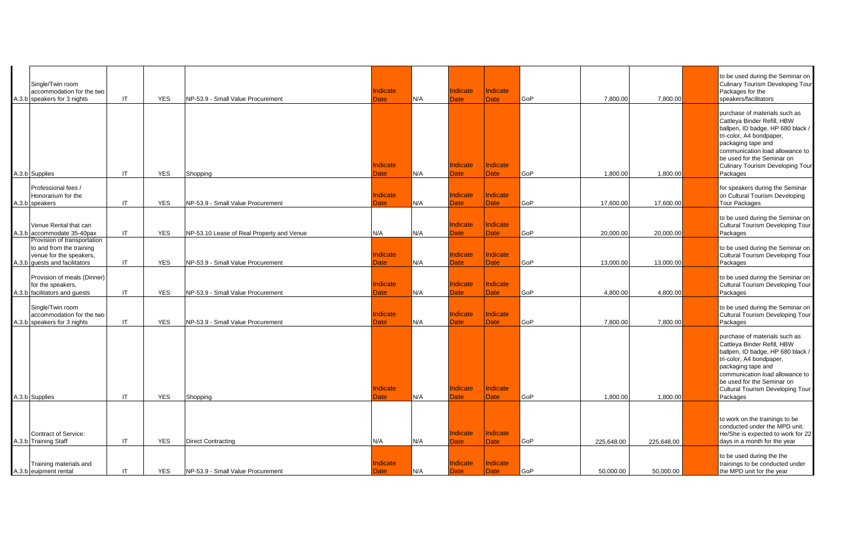| Single/Twin room<br>accommodation for the two<br>A.3.b speakers for 3 nights                                        | IT                     | <b>YES</b> | NP-53.9 - Small Value Procurement         | Indicate<br>Date        | N/A | Indicate<br>Date               | Indicate<br><b>Date</b> | <b>GoP</b> | 7,800.00   | 7,800.00   | to be used during the Seminar on<br>Culinary Tourism Developing Tour<br>Packages for the<br>speakers/facilitators                                                                                                                                                    |
|---------------------------------------------------------------------------------------------------------------------|------------------------|------------|-------------------------------------------|-------------------------|-----|--------------------------------|-------------------------|------------|------------|------------|----------------------------------------------------------------------------------------------------------------------------------------------------------------------------------------------------------------------------------------------------------------------|
| A.3.b Supplies                                                                                                      | IT                     | <b>YES</b> | Shopping                                  | Indicate<br>Date        | N/A | ndicate<br><b>Date</b>         | ndicate<br><b>Date</b>  | <b>GoP</b> | 1,800.00   | 1,800.00   | purchase of materials such as<br>Cattleya Binder Refill, HBW<br>ballpen, ID badge, HP 680 black /<br>tri-color, A4 bondpaper,<br>packaging tape and<br>communication load allowance to<br>be used for the Seminar on<br>Culinary Tourism Developing Tour<br>Packages |
| Professional fees /<br>Honorarium for the<br>A.3.b speakers                                                         | $\mathsf{I}\mathsf{T}$ | <b>YES</b> | NP-53.9 - Small Value Procurement         | <b>Indicate</b><br>Date | N/A | ndicate<br><b>Date</b>         | Indicate<br><b>Date</b> | <b>GoP</b> | 17,600.00  | 17,600.00  | for speakers during the Seminar<br>on Cultural Tourism Developing<br><b>Tour Packages</b>                                                                                                                                                                            |
| Venue Rental that can<br>A.3.b accommodate 35-40pax                                                                 | IT                     | <b>YES</b> | NP-53.10 Lease of Real Property and Venue | N/A                     | N/A | ndicate<br><b>Date</b>         | ndicate<br><b>Date</b>  | <b>GoP</b> | 20,000.00  | 20,000.00  | to be used during the Seminar on<br>Cultural Tourism Developing Tour<br>Packages                                                                                                                                                                                     |
| Provision of transportation<br>to and from the training<br>venue for the speakers,<br>A.3.b guests and facilitators | IT.                    | <b>YES</b> | NP-53.9 - Small Value Procurement         | Indicate<br>Date        | N/A | <b>Indicate</b><br>Date        | Indicate<br>Date        | <b>GoP</b> | 13,000.00  | 13,000.00  | to be used during the Seminar on<br>Cultural Tourism Developing Tour<br>Packages                                                                                                                                                                                     |
| Provision of meals (Dinner)<br>for the speakers,<br>A.3.b facilitators and guests                                   | ΙT                     | <b>YES</b> | NP-53.9 - Small Value Procurement         | Indicate<br>Date        | N/A | Indicate<br><b>Date</b>        | Indicate<br><b>Date</b> | <b>GoP</b> | 4,800.00   | 4,800.00   | to be used during the Seminar on<br>Cultural Tourism Developing Tour<br>Packages                                                                                                                                                                                     |
| Single/Twin room<br>accommodation for the two<br>A.3.b speakers for 3 nights                                        | ΙT                     | <b>YES</b> | NP-53.9 - Small Value Procurement         | Indicate<br>Date        | N/A | <b>Indicate</b><br><b>Date</b> | Indicate<br>Date        | GoP        | 7,800.00   | 7,800.00   | to be used during the Seminar on<br>Cultural Tourism Developing Tour<br>Packages                                                                                                                                                                                     |
| A.3.b Supplies                                                                                                      | IT                     | <b>YES</b> | Shopping                                  | Indicate<br>Date:       | N/A | Indicate<br>Date               | Indicate<br>Date        | <b>GoP</b> | 1,800.00   | 1,800.00   | purchase of materials such as<br>Cattleya Binder Refill, HBW<br>ballpen, ID badge, HP 680 black /<br>tri-color, A4 bondpaper,<br>packaging tape and<br>communication load allowance to<br>be used for the Seminar on<br>Cultural Tourism Developing Tour<br>Packages |
| Contract of Service:<br>A.3.b Training Staff                                                                        | IT                     | <b>YES</b> | <b>Direct Contracting</b>                 | N/A                     | N/A | Indicate<br><b>Date</b>        | Indicate<br>Date        | <b>GoP</b> | 225,648.00 | 225,648.00 | to work on the trainings to be<br>conducted under the MPD unit.<br>He/She is expected to work for 22<br>days in a month for the year                                                                                                                                 |
| Training materials and<br>A.3.b euipment rental                                                                     | IT                     | <b>YES</b> | NP-53.9 - Small Value Procurement         | Indicate<br>Date        | N/A | Indicate<br><b>Date</b>        | Indicate<br>Date        | GoP        | 50.000.00  | 50.000.00  | to be used during the the<br>trainings to be conducted under<br>the MPD unit for the year                                                                                                                                                                            |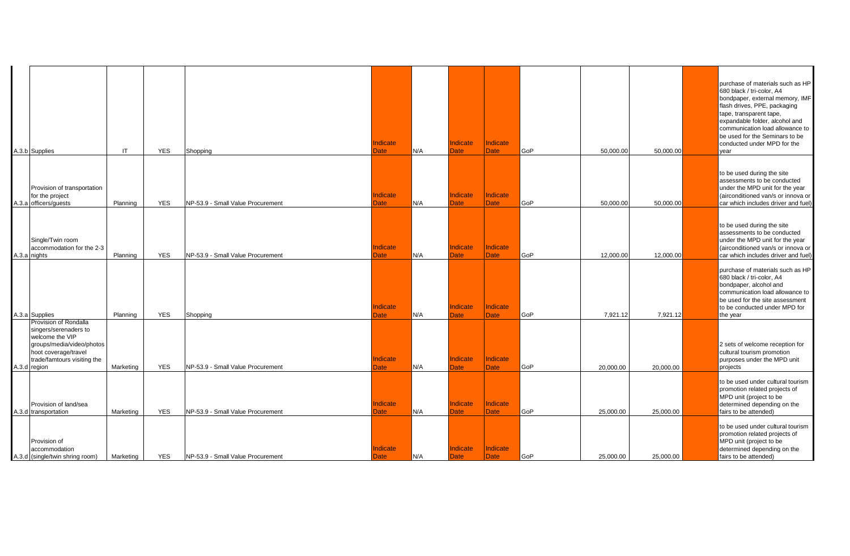| A.3.b Supplies                                                                                                                                                        | IT        | <b>YES</b> | Shopping                          | Indicate<br>Date        | N/A | Indicate<br>Date        | Indicate<br><b>Date</b> | GoP        | 50.000.00 | 50,000.00 | purchase of materials such as HP<br>680 black / tri-color, A4<br>bondpaper, external memory, IMF<br>flash drives, PPE, packaging<br>tape, transparent tape,<br>expandable folder, alcohol and<br>communication load allowance to<br>be used for the Seminars to be<br>conducted under MPD for the<br>year |
|-----------------------------------------------------------------------------------------------------------------------------------------------------------------------|-----------|------------|-----------------------------------|-------------------------|-----|-------------------------|-------------------------|------------|-----------|-----------|-----------------------------------------------------------------------------------------------------------------------------------------------------------------------------------------------------------------------------------------------------------------------------------------------------------|
| Provision of transportation<br>for the project<br>A.3.a officers/guests                                                                                               | Planning  | <b>YES</b> | NP-53.9 - Small Value Procurement | ndicate<br>Date         | N/A | Indicate<br>Date        | Indicate<br>Date        | GoP        | 50,000.00 | 50,000.00 | to be used during the site<br>assessments to be conducted<br>under the MPD unit for the year<br>(airconditioned van/s or innova or<br>car which includes driver and fuel)                                                                                                                                 |
| Single/Twin room<br>accommodation for the 2-3<br>A.3.a nights                                                                                                         | Planning  | <b>YES</b> | NP-53.9 - Small Value Procurement | Indicate<br>Date        | N/A | Indicate<br><b>Date</b> | Indicate<br><b>Date</b> | GoP        | 12,000.00 | 12,000.00 | to be used during the site<br>assessments to be conducted<br>under the MPD unit for the year<br>(airconditioned van/s or innova or<br>car which includes driver and fuel)                                                                                                                                 |
| A.3.a Supplies                                                                                                                                                        | Planning  | <b>YES</b> | Shopping                          | <b>Indicate</b><br>Date | N/A | Indicate<br><b>Date</b> | Indicate<br><b>Date</b> | GoP        | 7,921.12  | 7,921.12  | purchase of materials such as HP<br>680 black / tri-color, A4<br>bondpaper, alcohol and<br>communication load allowance to<br>be used for the site assessment<br>to be conducted under MPD for<br>the year                                                                                                |
| Provision of Rondalla<br>singers/serenaders to<br>welcome the VIP<br>groups/media/video/photos<br>hoot coverage/travel<br>trade/famtours visiting the<br>A.3.d region | Marketing | <b>YES</b> | NP-53.9 - Small Value Procurement | ndicate<br>Date         | N/A | Indicate<br>Date        | Indicate<br>Date        | GoP        | 20,000.00 | 20,000.00 | 2 sets of welcome reception for<br>cultural tourism promotion<br>purposes under the MPD unit<br>projects                                                                                                                                                                                                  |
| Provision of land/sea<br>A.3.d transportation                                                                                                                         | Marketing | <b>YES</b> | NP-53.9 - Small Value Procurement | Indicate<br>Date        | N/A | Indicate<br><b>Date</b> | Indicate<br>Date        | GoP        | 25,000.00 | 25,000.00 | to be used under cultural tourism<br>promotion related projects of<br>MPD unit (project to be<br>determined depending on the<br>fairs to be attended)                                                                                                                                                     |
| Provision of<br>accommodation<br>A.3.d (single/twin shring room)                                                                                                      | Marketing | <b>YES</b> | NP-53.9 - Small Value Procurement | ndicate<br>Date         | N/A | Indicate<br>Date        | Indicate<br><b>Date</b> | <b>GoP</b> | 25,000.00 | 25,000.00 | to be used under cultural tourism<br>promotion related projects of<br>MPD unit (project to be<br>determined depending on the<br>fairs to be attended)                                                                                                                                                     |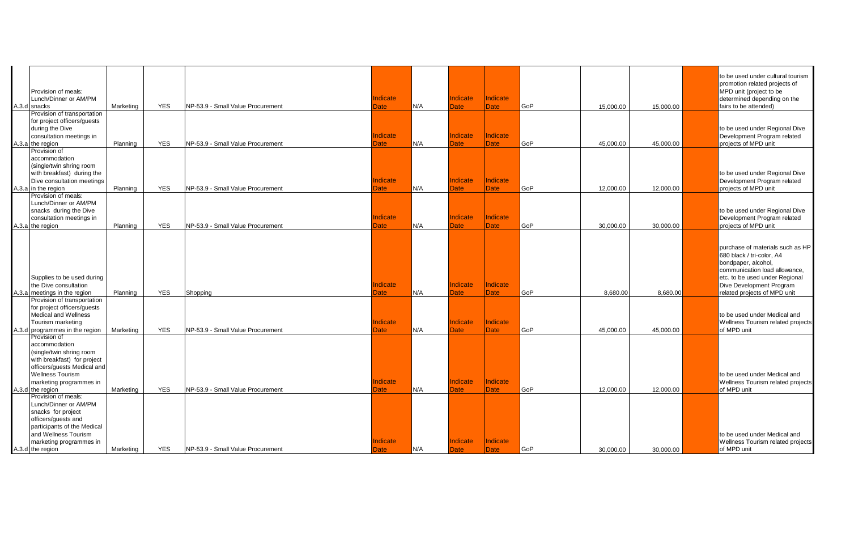| Provision of meals:<br>Lunch/Dinner or AM/PM<br>A.3.d snacks<br>Provision of transportation<br>for project officers/guests<br>during the Dive<br>consultation meetings in                         | Marketing | <b>YES</b> | NP-53.9 - Small Value Procurement | Indicate<br>Date<br>Indicate | N/A | ndicate<br><b>Date</b><br>Indicate | Indicate<br><b>Date</b><br>Indicate | GoP        | 15.000.00 | 15.000.00 | to be used under cultural tourism<br>promotion related projects of<br>MPD unit (project to be<br>determined depending on the<br>fairs to be attended)<br>to be used under Regional Dive<br>Development Program related |
|---------------------------------------------------------------------------------------------------------------------------------------------------------------------------------------------------|-----------|------------|-----------------------------------|------------------------------|-----|------------------------------------|-------------------------------------|------------|-----------|-----------|------------------------------------------------------------------------------------------------------------------------------------------------------------------------------------------------------------------------|
| A.3.a the region<br>Provision of                                                                                                                                                                  | Planning  | <b>YES</b> | NP-53.9 - Small Value Procurement | Date                         | N/A | <b>Date</b>                        | Date                                | GoP        | 45,000.00 | 45,000.00 | projects of MPD unit                                                                                                                                                                                                   |
| accommodation<br>(single/twin shring room<br>with breakfast) during the<br>Dive consultation meetings<br>A.3.a in the region                                                                      | Planning  | <b>YES</b> | NP-53.9 - Small Value Procurement | Indicate<br>Date             | N/A | Indicate<br><b>Date</b>            | Indicate<br><b>Date</b>             | GoP        | 12,000.00 | 12,000.00 | to be used under Regional Dive<br>Development Program related<br>projects of MPD unit                                                                                                                                  |
| Provision of meals:<br>Lunch/Dinner or AM/PM<br>snacks during the Dive<br>consultation meetings in<br>A.3.a the region                                                                            | Planning  | <b>YES</b> | NP-53.9 - Small Value Procurement | Indicate<br>Date             | N/A | <b>Indicate</b><br>Date            | Indicate<br><b>Date</b>             | GoP        | 30.000.00 | 30,000.00 | to be used under Regional Dive<br>Development Program related<br>projects of MPD unit                                                                                                                                  |
| Supplies to be used during<br>the Dive consultation<br>A.3.a meetings in the region                                                                                                               | Planning  | <b>YES</b> | Shopping                          | Indicate<br>Date             | N/A | ndicate<br><b>Date</b>             | Indicate<br><b>Date</b>             | GoP        | 8,680.00  | 8,680.00  | purchase of materials such as HP<br>680 black / tri-color, A4<br>bondpaper, alcohol,<br>communication load allowance.<br>etc. to be used under Regional<br>Dive Development Program<br>related projects of MPD unit    |
| Provision of transportation<br>for project officers/quests<br><b>Medical and Wellness</b><br>Tourism marketing<br>A.3.d programmes in the region                                                  | Marketing | <b>YES</b> | NP-53.9 - Small Value Procurement | Indicate<br>Date             | N/A | <b>Indicate</b><br><b>Date</b>     | Indicate<br><b>Date</b>             | GoP        | 45,000.00 | 45,000.00 | to be used under Medical and<br>Wellness Tourism related projects<br>of MPD unit                                                                                                                                       |
| Provision of<br>accommodation<br>(single/twin shring room<br>with breakfast) for project<br>officers/guests Medical and<br><b>Wellness Tourism</b><br>marketing programmes in<br>A.3.d the region | Marketing | <b>YES</b> | NP-53.9 - Small Value Procurement | Indicate<br>Date             | N/A | <b>Indicate</b><br>Date:           | <b>Indicate</b><br><b>Date</b>      | GoP        | 12.000.00 | 12.000.00 | to be used under Medical and<br>Wellness Tourism related projects<br>of MPD unit                                                                                                                                       |
| Provision of meals:<br>Lunch/Dinner or AM/PM<br>snacks for project<br>officers/quests and<br>participants of the Medical<br>and Wellness Tourism<br>marketing programmes in<br>A.3.d the region   | Marketing | <b>YES</b> | NP-53.9 - Small Value Procurement | Indicate<br>Date             | N/A | Indicate<br><b>Date</b>            | Indicate<br><b>Date</b>             | <b>GoP</b> | 30,000.00 | 30,000.00 | to be used under Medical and<br>Wellness Tourism related projects<br>of MPD unit                                                                                                                                       |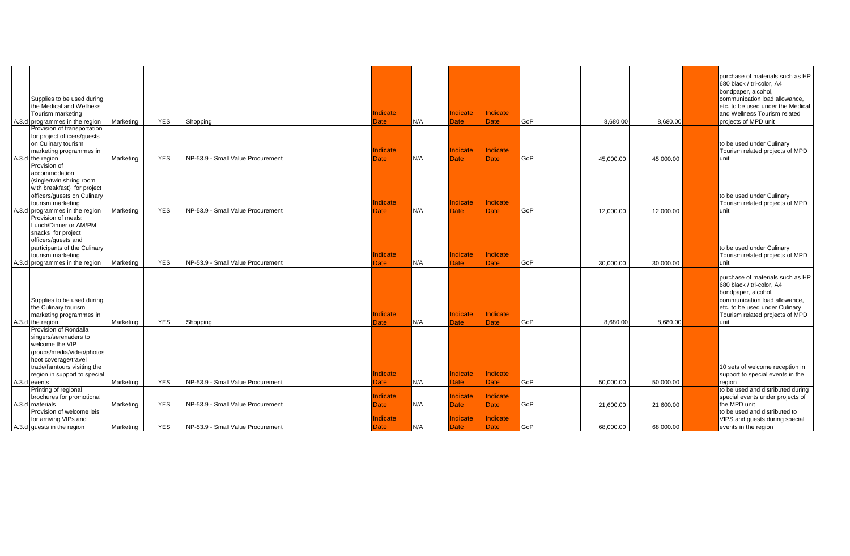| Supplies to be used during<br>the Medical and Wellness<br>Tourism marketing<br>A.3.d programmes in the region                                                                                         | Marketing | <b>YES</b> | Shopping                          | Indicate<br>Date        | N/A | <b>Indicate</b><br>Date        | Indicate<br><b>Date</b> | GoP | 8,680.00  | 8,680.00  | purchase of materials such as HP<br>680 black / tri-color, A4<br>bondpaper, alcohol,<br>communication load allowance,<br>etc. to be used under the Medical<br>and Wellness Tourism related<br>projects of MPD unit |
|-------------------------------------------------------------------------------------------------------------------------------------------------------------------------------------------------------|-----------|------------|-----------------------------------|-------------------------|-----|--------------------------------|-------------------------|-----|-----------|-----------|--------------------------------------------------------------------------------------------------------------------------------------------------------------------------------------------------------------------|
| Provision of transportation<br>for project officers/guests<br>on Culinary tourism<br>marketing programmes in<br>A.3.d the region                                                                      | Marketing | <b>YES</b> | NP-53.9 - Small Value Procurement | Indicate<br><b>Date</b> | N/A | Indicate<br><b>Date</b>        | Indicate<br><b>Date</b> | GoP | 45.000.00 | 45,000.00 | to be used under Culinary<br>Tourism related projects of MPD<br>unit                                                                                                                                               |
| Provision of<br>accommodation<br>(single/twin shring room<br>with breakfast) for project<br>officers/guests on Culinary<br>tourism marketing<br>A.3.d programmes in the region                        | Marketing | <b>YES</b> | NP-53.9 - Small Value Procurement | Indicate<br>Date        | N/A | Indicate<br>Date               | Indicate<br><b>Date</b> | GoP | 12.000.00 | 12,000.00 | to be used under Culinary<br>Tourism related projects of MPD<br>lunit                                                                                                                                              |
| Provision of meals:<br>Lunch/Dinner or AM/PM<br>snacks for project<br>officers/guests and<br>participants of the Culinary<br>tourism marketing<br>A.3.d programmes in the region                      | Marketing | <b>YES</b> | NP-53.9 - Small Value Procurement | Indicate<br>Date        | N/A | <b>Indicate</b><br><b>Date</b> | Indicate<br><b>Date</b> | GoP | 30,000.00 | 30,000.00 | to be used under Culinary<br>Tourism related projects of MPD<br><b>unit</b>                                                                                                                                        |
| Supplies to be used during<br>the Culinary tourism<br>marketing programmes in<br>A.3.d the region                                                                                                     | Marketing | <b>YES</b> | Shopping                          | Indicate<br>Date        | N/A | Indicate<br>Date               | Indicate<br><b>Date</b> | GoP | 8,680.00  | 8,680.00  | purchase of materials such as HP<br>680 black / tri-color, A4<br>bondpaper, alcohol,<br>communication load allowance,<br>etc. to be used under Culinary<br>Tourism related projects of MPD<br>unit                 |
| Provision of Rondalla<br>singers/serenaders to<br>welcome the VIP<br>groups/media/video/photos<br>hoot coverage/travel<br>trade/famtours visiting the<br>region in support to special<br>A.3.d events | Marketing | <b>YES</b> | NP-53.9 - Small Value Procurement | Indicate<br><b>Date</b> | N/A | Indicate<br><b>Date</b>        | Indicate<br><b>Date</b> | GoP | 50.000.00 | 50.000.00 | 10 sets of welcome reception in<br>support to special events in the<br>region                                                                                                                                      |
| Printing of regional<br>brochures for promotional<br>A.3.d materials                                                                                                                                  | Marketing | <b>YES</b> | NP-53.9 - Small Value Procurement | <b>Indicate</b><br>Date | N/A | <b>Indicate</b><br>Date        | Indicate<br>Date        | GoP | 21,600.00 | 21,600.00 | to be used and distributed during<br>special events under projects of<br>the MPD unit                                                                                                                              |
| Provision of welcome leis<br>for arriving VIPs and<br>A.3.d guests in the region                                                                                                                      | Marketing | <b>YES</b> | NP-53.9 - Small Value Procurement | Indicate<br>Date        | N/A | Indicate<br><b>Date</b>        | Indicate<br>Date        | GoP | 68.000.00 | 68.000.00 | to be used and distributed to<br>VIPS and guests during special<br>events in the region                                                                                                                            |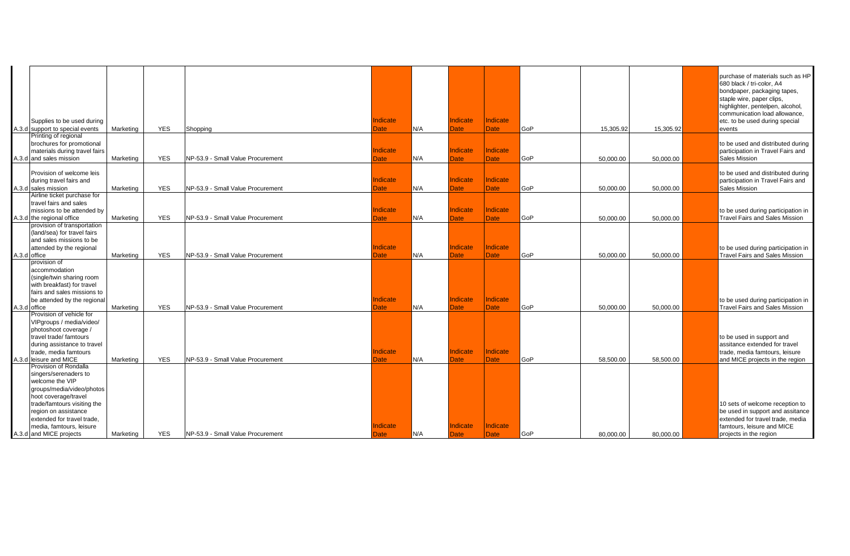| Supplies to be used during<br>A.3.d support to special events                                                                                                                                                                                                      | Marketing | <b>YES</b> | Shopping                          | Indicate<br>Date               | N/A | Indicate<br><b>Date</b>        | <b>Indicate</b><br><b>Date</b> | GoP | 15.305.92 | 15.305.92 | purchase of materials such as HP<br>680 black / tri-color, A4<br>bondpaper, packaging tapes,<br>staple wire, paper clips,<br>highlighter, pentelpen, alcohol,<br>communication load allowance.<br>etc. to be used during special<br>events |
|--------------------------------------------------------------------------------------------------------------------------------------------------------------------------------------------------------------------------------------------------------------------|-----------|------------|-----------------------------------|--------------------------------|-----|--------------------------------|--------------------------------|-----|-----------|-----------|--------------------------------------------------------------------------------------------------------------------------------------------------------------------------------------------------------------------------------------------|
| Printing of regional<br>brochures for promotional<br>materials during travel fairs<br>A.3.d and sales mission                                                                                                                                                      | Marketing | <b>YES</b> | NP-53.9 - Small Value Procurement | <b>Indicate</b><br>Date        | N/A | <b>Indicate</b><br><b>Date</b> | Indicate<br><b>Date</b>        | GoP | 50,000.00 | 50,000.00 | to be used and distributed during<br>participation in Travel Fairs and<br>Sales Mission                                                                                                                                                    |
| Provision of welcome leis<br>during travel fairs and<br>A.3.d sales mission                                                                                                                                                                                        | Marketing | <b>YES</b> | NP-53.9 - Small Value Procurement | Indicate<br><b>Date</b>        | N/A | <b>Indicate</b><br><b>Date</b> | Indicate<br><b>Date</b>        | GoP | 50,000.00 | 50,000.00 | to be used and distributed during<br>participation in Travel Fairs and<br>Sales Mission                                                                                                                                                    |
| Airline ticket purchase for<br>travel fairs and sales<br>missions to be attended by<br>A.3.d the regional office                                                                                                                                                   | Marketing | <b>YES</b> | NP-53.9 - Small Value Procurement | <b>Indicate</b><br>Date        | N/A | Indicate<br><b>Date</b>        | <b>Indicate</b><br><b>Date</b> | GoP | 50.000.00 | 50,000.00 | to be used during participation in<br><b>Travel Fairs and Sales Mission</b>                                                                                                                                                                |
| provision of transportation<br>(land/sea) for travel fairs<br>and sales missions to be<br>attended by the regional<br>A.3.d office                                                                                                                                 | Marketing | <b>YES</b> | NP-53.9 - Small Value Procurement | Indicate<br>Date               | N/A | Indicate<br><b>Date</b>        | Indicate<br><b>Date</b>        | GoP | 50,000.00 | 50,000.00 | to be used during participation in<br><b>Travel Fairs and Sales Mission</b>                                                                                                                                                                |
| provision of<br>accommodation<br>(single/twin sharing room<br>with breakfast) for travel<br>fairs and sales missions to<br>be attended by the regional<br>A.3.d office                                                                                             | Marketing | <b>YES</b> | NP-53.9 - Small Value Procurement | Indicate<br><b>Date</b>        | N/A | Indicate<br><b>Date</b>        | Indicate<br><b>Date</b>        | GoP | 50,000.00 | 50,000.00 | to be used during participation in<br><b>Travel Fairs and Sales Mission</b>                                                                                                                                                                |
| Provision of vehicle for<br>VIPgroups / media/video/<br>photoshoot coverage /<br>travel trade/ famtours<br>during assistance to travel<br>trade. media famtours<br>A.3.d leisure and MICE                                                                          | Marketing | <b>YES</b> | NP-53.9 - Small Value Procurement | <b>Indicate</b><br><b>Date</b> | N/A | Indicate<br><b>Date</b>        | Indicate<br><b>Date</b>        | GoP | 58,500.00 | 58,500.00 | to be used in support and<br>assitance extended for travel<br>trade, media famtours, leisure<br>and MICE projects in the region                                                                                                            |
| Provision of Rondalla<br>singers/serenaders to<br>welcome the VIP<br>groups/media/video/photos<br>hoot coverage/travel<br>trade/famtours visiting the<br>region on assistance<br>extended for travel trade.<br>media, famtours, leisure<br>A.3.d and MICE projects | Marketing | <b>YES</b> | NP-53.9 - Small Value Procurement | Indicate<br>Date               | N/A | Indicate<br><b>Date</b>        | Indicate<br><b>Date</b>        | GoP | 80,000.00 | 80,000.00 | 10 sets of welcome reception to<br>be used in support and assitance<br>extended for travel trade, media<br>famtours, leisure and MICE<br>projects in the region                                                                            |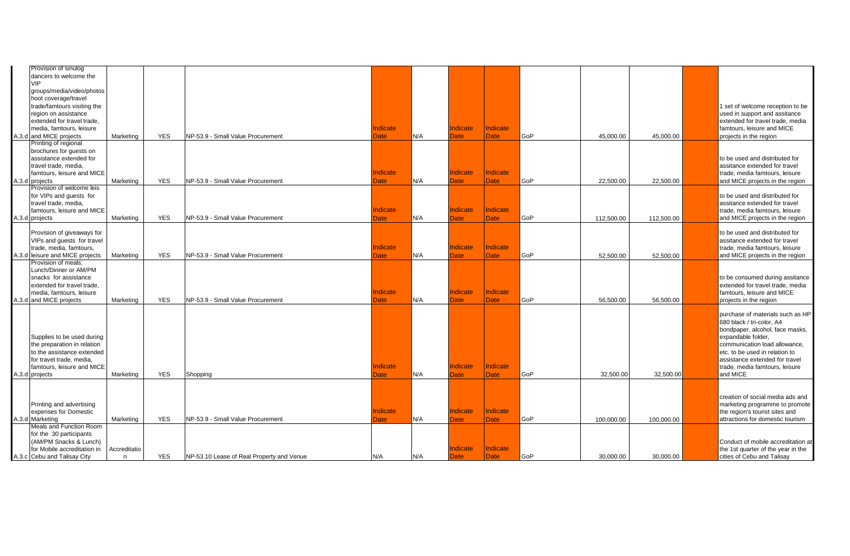| Provision of sinulog                                   |              |            |                                           |                 |     |                         |                         |     |            |            |                                                                  |
|--------------------------------------------------------|--------------|------------|-------------------------------------------|-----------------|-----|-------------------------|-------------------------|-----|------------|------------|------------------------------------------------------------------|
| dancers to welcome the                                 |              |            |                                           |                 |     |                         |                         |     |            |            |                                                                  |
| <b>VIP</b>                                             |              |            |                                           |                 |     |                         |                         |     |            |            |                                                                  |
| groups/media/video/photos<br>hoot coverage/travel      |              |            |                                           |                 |     |                         |                         |     |            |            |                                                                  |
| trade/famtours visiting the                            |              |            |                                           |                 |     |                         |                         |     |            |            | 1 set of welcome reception to be                                 |
| region on assistance                                   |              |            |                                           |                 |     |                         |                         |     |            |            | used in support and assitance                                    |
| extended for travel trade,                             |              |            |                                           |                 |     |                         |                         |     |            |            | extended for travel trade, media                                 |
| media, famtours, leisure                               |              |            |                                           | Indicate        |     | Indicate                | Indicate                |     |            |            | famtours, leisure and MICE                                       |
| A.3.d and MICE projects                                | Marketing    | <b>YES</b> | NP-53.9 - Small Value Procurement         | Date            | N/A | Date                    | <b>Date</b>             | GoP | 45.000.00  | 45,000.00  | projects in the region                                           |
| Printing of regional                                   |              |            |                                           |                 |     |                         |                         |     |            |            |                                                                  |
| brochures for guests on                                |              |            |                                           |                 |     |                         |                         |     |            |            |                                                                  |
| assistance extended for                                |              |            |                                           |                 |     |                         |                         |     |            |            | to be used and distributed for                                   |
| travel trade, media,<br>famtours, leisure and MICE     |              |            |                                           | <b>Indicate</b> |     | <b>Indicate</b>         | <b>Indicate</b>         |     |            |            | assitance extended for travel<br>trade, media famtours, leisure  |
| A.3.d projects                                         | Marketing    | <b>YES</b> | NP-53.9 - Small Value Procurement         | <b>Date</b>     | N/A | Date                    | Date                    | GoP | 22,500.00  | 22,500.00  | and MICE projects in the region                                  |
| Provision of welcome leis                              |              |            |                                           |                 |     |                         |                         |     |            |            |                                                                  |
| for VIPs and guests for                                |              |            |                                           |                 |     |                         |                         |     |            |            | to be used and distributed for                                   |
| travel trade, media,                                   |              |            |                                           |                 |     |                         |                         |     |            |            | assitance extended for travel                                    |
| famtours, leisure and MICE                             |              |            |                                           | <b>Indicate</b> |     | <b>Indicate</b>         | Indicate                |     |            |            | trade, media famtours, leisure                                   |
| A.3.d projects                                         | Marketing    | <b>YES</b> | NP-53.9 - Small Value Procurement         | Date            | N/A | Date                    | <b>Date</b>             | GoP | 112.500.00 | 112,500.00 | and MICE projects in the region                                  |
| Provision of giveaways for                             |              |            |                                           |                 |     |                         |                         |     |            |            | to be used and distributed for                                   |
| VIPs and guests for travel                             |              |            |                                           |                 |     |                         |                         |     |            |            | assitance extended for travel                                    |
| trade, media, famtours,                                |              |            |                                           | <b>Indicate</b> |     | Indicate                | Indicate                |     |            |            | trade, media famtours, leisure                                   |
| A.3.d leisure and MICE projects                        | Marketing    | <b>YES</b> | NP-53.9 - Small Value Procurement         | Date            | N/A | <b>Date</b>             | <b>Date</b>             | GoP | 52,500.00  | 52,500.00  | and MICE projects in the region                                  |
| Provision of meals:                                    |              |            |                                           |                 |     |                         |                         |     |            |            |                                                                  |
| Lunch/Dinner or AM/PM                                  |              |            |                                           |                 |     |                         |                         |     |            |            |                                                                  |
| snacks for assistance                                  |              |            |                                           |                 |     |                         |                         |     |            |            | to be consumed during assitance                                  |
| extended for travel trade,                             |              |            |                                           |                 |     |                         | <b>Indicate</b>         |     |            |            | extended for travel trade, media                                 |
| media, famtours, leisure                               |              | <b>YES</b> | NP-53.9 - Small Value Procurement         | Indicate        | N/A | Indicate<br><b>Date</b> | <b>Date</b>             | GoP |            |            | famtours, leisure and MICE                                       |
| A.3.d and MICE projects                                | Marketing    |            |                                           | <b>Date</b>     |     |                         |                         |     | 56,500.00  | 56,500.00  | projects in the region                                           |
|                                                        |              |            |                                           |                 |     |                         |                         |     |            |            | purchase of materials such as HP                                 |
|                                                        |              |            |                                           |                 |     |                         |                         |     |            |            | 680 black / tri-color, A4                                        |
|                                                        |              |            |                                           |                 |     |                         |                         |     |            |            | bondpaper, alcohol, face masks,                                  |
| Supplies to be used during                             |              |            |                                           |                 |     |                         |                         |     |            |            | expandable folder,                                               |
| the preparation in relation                            |              |            |                                           |                 |     |                         |                         |     |            |            | communication load allowance.                                    |
| to the assistance extended                             |              |            |                                           |                 |     |                         |                         |     |            |            | etc. to be used in relation to                                   |
| for travel trade, media,<br>famtours, leisure and MICE |              |            |                                           | Indicate        |     | Indicate                | Indicate                |     |            |            | assistance extended for travel<br>trade, media famtours, leisure |
| A.3.d projects                                         | Marketing    | <b>YES</b> | Shopping                                  | <b>Date</b>     | N/A | Date                    | <b>Date</b>             | GoP | 32,500.00  | 32,500.00  | and MICE                                                         |
|                                                        |              |            |                                           |                 |     |                         |                         |     |            |            |                                                                  |
|                                                        |              |            |                                           |                 |     |                         |                         |     |            |            |                                                                  |
|                                                        |              |            |                                           |                 |     |                         |                         |     |            |            | creation of social media ads and                                 |
| Printing and advertising                               |              |            |                                           |                 |     |                         |                         |     |            |            | marketing programme to promote                                   |
| expenses for Domestic                                  |              | <b>YES</b> |                                           | <b>Indicate</b> | N/A | Indicate                | Indicate<br><b>Date</b> |     |            |            | the region's tourist sites and                                   |
| A.3.d Marketing<br>Meals and Function Room             | Marketing    |            | NP-53.9 - Small Value Procurement         | <b>Date</b>     |     | <b>Date</b>             |                         | GoP | 100,000.00 | 100,000.00 | attractions for domestic tourism                                 |
| for the 30 participants                                |              |            |                                           |                 |     |                         |                         |     |            |            |                                                                  |
| (AM/PM Snacks & Lunch)                                 |              |            |                                           |                 |     |                         |                         |     |            |            | Conduct of mobile accreditation at                               |
| for Mobile accreditation in                            | Accreditatio |            |                                           |                 |     | Indicate                | Indicate                |     |            |            | the 1st quarter of the year in the                               |
| A.3.c Cebu and Talisay City                            | n            | <b>YES</b> | NP-53.10 Lease of Real Property and Venue | N/A             | N/A | Date                    | <b>Date</b>             | GoP | 30,000.00  | 30,000.00  | cities of Cebu and Talisay                                       |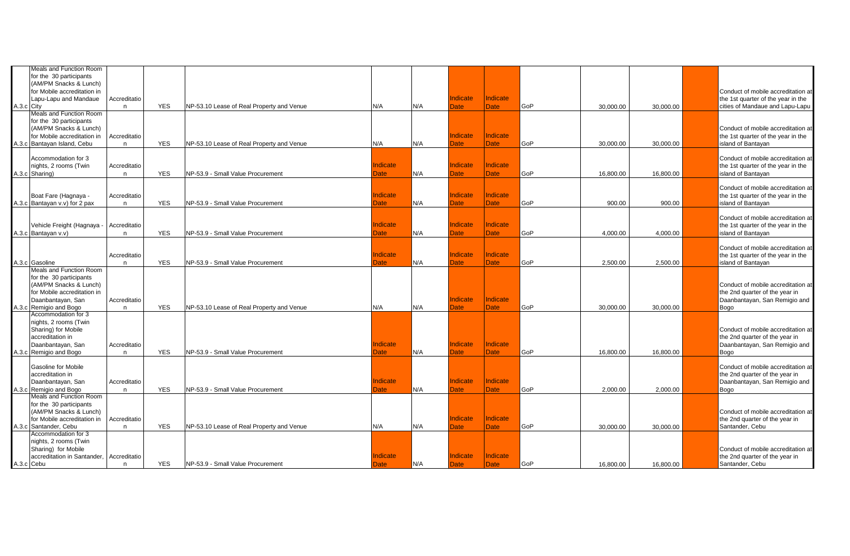|            | Meals and Function Room       |              |            |                                           |                 |     |                 |                 |     |           |           |                                    |
|------------|-------------------------------|--------------|------------|-------------------------------------------|-----------------|-----|-----------------|-----------------|-----|-----------|-----------|------------------------------------|
|            | for the 30 participants       |              |            |                                           |                 |     |                 |                 |     |           |           |                                    |
|            | (AM/PM Snacks & Lunch)        |              |            |                                           |                 |     |                 |                 |     |           |           |                                    |
|            | for Mobile accreditation in   |              |            |                                           |                 |     |                 |                 |     |           |           | Conduct of mobile accreditation at |
|            | Lapu-Lapu and Mandaue         | Accreditatio |            |                                           |                 |     | Indicate        | Indicate        |     |           |           | the 1st quarter of the year in the |
| A.3.c City |                               | n            | <b>YES</b> | NP-53.10 Lease of Real Property and Venue | N/A             | N/A | <b>Date</b>     | Date            | GoP | 30,000.00 | 30,000.00 | cities of Mandaue and Lapu-Lapu    |
|            | Meals and Function Room       |              |            |                                           |                 |     |                 |                 |     |           |           |                                    |
|            | for the 30 participants       |              |            |                                           |                 |     |                 |                 |     |           |           |                                    |
|            | (AM/PM Snacks & Lunch)        |              |            |                                           |                 |     |                 |                 |     |           |           | Conduct of mobile accreditation at |
|            | for Mobile accreditation in   | Accreditatio |            |                                           |                 |     | <b>Indicate</b> | Indicate        |     |           |           | the 1st quarter of the year in the |
|            | A.3.c Bantayan Island, Cebu   | n            | <b>YES</b> | NP-53.10 Lease of Real Property and Venue | N/A             | N/A | <b>Date</b>     | Date            | GoP | 30.000.00 | 30.000.00 | island of Bantayan                 |
|            |                               |              |            |                                           |                 |     |                 |                 |     |           |           |                                    |
|            | Accommodation for 3           |              |            |                                           |                 |     |                 |                 |     |           |           | Conduct of mobile accreditation at |
|            | nights, 2 rooms (Twin         | Accreditatio |            |                                           | <b>Indicate</b> |     | <b>Indicate</b> | Indicate        |     |           |           | the 1st quarter of the year in the |
|            | A.3.c Sharing)                | n            | <b>YES</b> | NP-53.9 - Small Value Procurement         | Date            | N/A | Date            | Date            | GoP | 16.800.00 | 16.800.00 | island of Bantayan                 |
|            |                               |              |            |                                           |                 |     |                 |                 |     |           |           |                                    |
|            |                               |              |            |                                           |                 |     |                 |                 |     |           |           | Conduct of mobile accreditation at |
|            | Boat Fare (Hagnaya -          | Accreditatio |            |                                           | <b>Indicate</b> |     | Indicate        | <b>Indicate</b> |     |           |           | the 1st quarter of the year in the |
|            | A.3.c Bantayan v.v) for 2 pax |              | <b>YES</b> | NP-53.9 - Small Value Procurement         |                 | N/A | <b>Date</b>     | <b>Date</b>     | GoP |           |           | island of Bantayan                 |
|            |                               | $\mathsf{n}$ |            |                                           | Date            |     |                 |                 |     | 900.00    | 900.00    |                                    |
|            |                               |              |            |                                           |                 |     |                 |                 |     |           |           |                                    |
|            |                               |              |            |                                           | Indicate        |     | Indicate        | Indicate        |     |           |           | Conduct of mobile accreditation at |
|            | Vehicle Freight (Hagnaya -    | Accreditatio |            |                                           |                 |     |                 |                 |     |           |           | the 1st quarter of the year in the |
|            | A.3.c Bantayan v.v)           | $\mathsf{n}$ | <b>YES</b> | NP-53.9 - Small Value Procurement         | Date            | N/A | <b>Date</b>     | Date            | GoP | 4.000.00  | 4,000.00  | island of Bantayan                 |
|            |                               |              |            |                                           |                 |     |                 |                 |     |           |           |                                    |
|            |                               |              |            |                                           |                 |     |                 |                 |     |           |           | Conduct of mobile accreditation at |
|            |                               | Accreditatio |            |                                           | Indicate        |     | <b>Indicate</b> | Indicate        |     |           |           | the 1st quarter of the year in the |
|            | A.3.c Gasoline                | $\mathsf{n}$ | <b>YES</b> | NP-53.9 - Small Value Procurement         | Date            | N/A | <b>Date</b>     | Date            | GoP | 2,500.00  | 2,500.00  | island of Bantayan                 |
|            | Meals and Function Room       |              |            |                                           |                 |     |                 |                 |     |           |           |                                    |
|            | for the 30 participants       |              |            |                                           |                 |     |                 |                 |     |           |           |                                    |
|            | (AM/PM Snacks & Lunch)        |              |            |                                           |                 |     |                 |                 |     |           |           | Conduct of mobile accreditation at |
|            | for Mobile accreditation in   |              |            |                                           |                 |     |                 |                 |     |           |           | the 2nd quarter of the year in     |
|            | Daanbantayan, San             | Accreditatio |            |                                           |                 |     | Indicate        | Indicate        |     |           |           | Daanbantayan, San Remigio and      |
|            | A.3.c Remigio and Bogo        | n.           | <b>YES</b> | NP-53.10 Lease of Real Property and Venue | N/A             | N/A | <b>Date</b>     | <b>Date</b>     | GoP | 30.000.00 | 30.000.00 | Bogo                               |
|            | Accommodation for 3           |              |            |                                           |                 |     |                 |                 |     |           |           |                                    |
|            | nights, 2 rooms (Twin         |              |            |                                           |                 |     |                 |                 |     |           |           |                                    |
|            | Sharing) for Mobile           |              |            |                                           |                 |     |                 |                 |     |           |           | Conduct of mobile accreditation at |
|            | accreditation in              |              |            |                                           |                 |     |                 |                 |     |           |           | the 2nd quarter of the year in     |
|            | Daanbantayan, San             | Accreditatio |            |                                           | <b>Indicate</b> |     | Indicate        | Indicate        |     |           |           | Daanbantayan, San Remigio and      |
|            | A.3.c Remigio and Bogo        | n            | <b>YES</b> | NP-53.9 - Small Value Procurement         | Date            | N/A | Date            | <b>Date</b>     | GoP | 16,800.00 | 16,800.00 | Bogo                               |
|            |                               |              |            |                                           |                 |     |                 |                 |     |           |           |                                    |
|            | <b>Gasoline for Mobile</b>    |              |            |                                           |                 |     |                 |                 |     |           |           | Conduct of mobile accreditation at |
|            | accreditation in              |              |            |                                           |                 |     |                 |                 |     |           |           | the 2nd quarter of the year in     |
|            | Daanbantayan, San             | Accreditatio |            |                                           | <b>Indicate</b> |     | <b>Indicate</b> | <b>Indicate</b> |     |           |           | Daanbantayan, San Remigio and      |
|            | A.3.c Remigio and Bogo        | n            | <b>YES</b> | NP-53.9 - Small Value Procurement         | <b>Date</b>     | N/A | <b>Date</b>     | <b>Date</b>     | GoP | 2.000.00  | 2,000.00  | Bogo                               |
|            | Meals and Function Room       |              |            |                                           |                 |     |                 |                 |     |           |           |                                    |
|            | for the 30 participants       |              |            |                                           |                 |     |                 |                 |     |           |           |                                    |
|            | (AM/PM Snacks & Lunch)        |              |            |                                           |                 |     |                 |                 |     |           |           | Conduct of mobile accreditation at |
|            | for Mobile accreditation in   | Accreditatio |            |                                           |                 |     | Indicate        | <b>Indicate</b> |     |           |           | the 2nd quarter of the year in     |
|            | A.3.c Santander, Cebu         | n            | <b>YES</b> | NP-53.10 Lease of Real Property and Venue | N/A             | N/A | <b>Date</b>     | <b>Date</b>     | GoP | 30,000.00 | 30,000.00 | Santander, Cebu                    |
|            | Accommodation for 3           |              |            |                                           |                 |     |                 |                 |     |           |           |                                    |
|            | nights, 2 rooms (Twin         |              |            |                                           |                 |     |                 |                 |     |           |           |                                    |
|            | Sharing) for Mobile           |              |            |                                           |                 |     |                 |                 |     |           |           | Conduct of mobile accreditation at |
|            | accreditation in Santander,   | Accreditatio |            |                                           | Indicate        |     | Indicate        | Indicate        |     |           |           | the 2nd quarter of the year in     |
| A.3.c Cebu |                               | n.           | <b>YES</b> | NP-53.9 - Small Value Procurement         | Date:           | N/A | <b>Date</b>     | <b>Date</b>     | GoP | 16,800.00 | 16,800.00 | Santander, Cebu                    |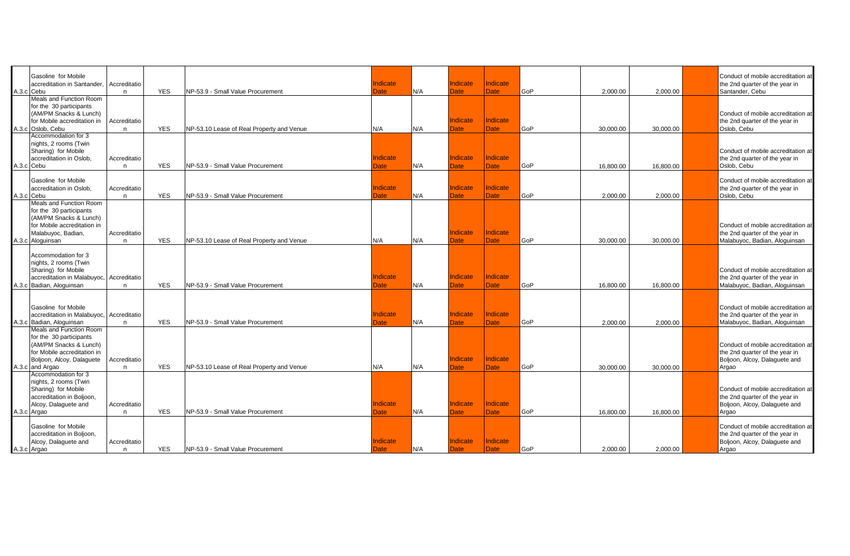| Gasoline for Mobile<br>accreditation in Santander.<br>A.3.c Cebu                                                                                            | Accreditatio<br>n. | <b>YES</b> | NP-53.9 - Small Value Procurement         | Indicate<br>Date | N/A | <b>Indicate</b><br><b>Date</b> | Indicate<br>Date               | GoP | 2,000.00  | 2,000.00  | Conduct of mobile accreditation at<br>the 2nd quarter of the year in<br>Santander, Cebu                        |
|-------------------------------------------------------------------------------------------------------------------------------------------------------------|--------------------|------------|-------------------------------------------|------------------|-----|--------------------------------|--------------------------------|-----|-----------|-----------|----------------------------------------------------------------------------------------------------------------|
| Meals and Function Room<br>for the 30 participants<br>(AM/PM Snacks & Lunch)<br>for Mobile accreditation in<br>A.3.c Oslob, Cebu                            | Accreditatio<br>n  | <b>YES</b> | NP-53.10 Lease of Real Property and Venue | N/A              | N/A | <b>Indicate</b><br><b>Date</b> | <b>Indicate</b><br><b>Date</b> | GoP | 30,000.00 | 30,000.00 | Conduct of mobile accreditation at<br>the 2nd quarter of the year in<br>Oslob, Cebu                            |
| Accommodation for 3<br>nights, 2 rooms (Twin<br>Sharing) for Mobile<br>accreditation in Oslob,<br>A.3.c Cebu                                                | Accreditatio<br>n. | <b>YES</b> | NP-53.9 - Small Value Procurement         | Indicate<br>Date | N/A | Indicate<br><b>Date</b>        | Indicate<br><b>Date</b>        | GoP | 16,800.00 | 16,800.00 | Conduct of mobile accreditation at<br>the 2nd quarter of the year in<br>Oslob, Cebu                            |
| Gasoline for Mobile<br>accreditation in Oslob,<br>A.3.c Cebu                                                                                                | Accreditatio<br>n  | <b>YES</b> | NP-53.9 - Small Value Procurement         | Indicate<br>Date | N/A | Indicate<br><b>Date</b>        | Indicate<br><b>Date</b>        | GoP | 2,000.00  | 2,000.00  | Conduct of mobile accreditation at<br>the 2nd quarter of the year in<br>Oslob, Cebu                            |
| Meals and Function Room<br>for the 30 participants<br>(AM/PM Snacks & Lunch)<br>for Mobile accreditation in<br>Malabuyoc, Badian,<br>A.3.c Aloguinsan       | Accreditatio<br>n  | <b>YES</b> | NP-53.10 Lease of Real Property and Venue | N/A              | N/A | Indicate<br><b>Date</b>        | Indicate<br><b>Date</b>        | GoP | 30.000.00 | 30.000.00 | Conduct of mobile accreditation at<br>the 2nd quarter of the year in<br>Malabuyoc, Badian, Aloquinsan          |
| Accommodation for 3<br>nights, 2 rooms (Twin<br>Sharing) for Mobile<br>accreditation in Malabuyoc, Accreditatio<br>A.3.c Badian, Aloguinsan                 | n.                 | <b>YES</b> | NP-53.9 - Small Value Procurement         | Indicate<br>Date | N/A | Indicate<br>Date               | <b>Indicate</b><br>Date        | GoP | 16.800.00 | 16.800.00 | Conduct of mobile accreditation at<br>the 2nd quarter of the year in<br>Malabuyoc, Badian, Aloquinsan          |
| Gasoline for Mobile<br>accreditation in Malabuyoc, Accreditatio<br>A.3.c Badian, Aloguinsan                                                                 | n.                 | <b>YES</b> | NP-53.9 - Small Value Procurement         | Indicate<br>Date | N/A | <b>Indicate</b><br><b>Date</b> | Indicate<br><b>Date</b>        | GoP | 2,000.00  | 2,000.00  | Conduct of mobile accreditation at<br>the 2nd quarter of the year in<br>Malabuyoc, Badian, Aloguinsan          |
| Meals and Function Room<br>for the 30 participants<br>(AM/PM Snacks & Lunch)<br>for Mobile accreditation in<br>Boljoon, Alcoy, Dalaguete<br>A.3.c and Argao | Accreditatio<br>n. | <b>YES</b> | NP-53.10 Lease of Real Property and Venue | N/A              | N/A | Indicate<br><b>Date</b>        | Indicate<br><b>Date</b>        | GoP | 30,000.00 | 30,000.00 | Conduct of mobile accreditation at<br>the 2nd quarter of the year in<br>Boljoon, Alcoy, Dalaguete and<br>Argao |
| Accommodation for 3<br>nights, 2 rooms (Twin<br>Sharing) for Mobile<br>accreditation in Boljoon,<br>Alcoy, Dalaguete and<br>A.3.c Argao                     | Accreditatio<br>n  | <b>YES</b> | NP-53.9 - Small Value Procurement         | Indicate<br>Date | N/A | <b>Indicate</b><br>Date        | Indicate<br><b>Date</b>        | GoP | 16.800.00 | 16.800.00 | Conduct of mobile accreditation at<br>the 2nd quarter of the year in<br>Boljoon, Alcoy, Dalaguete and<br>Argao |
| Gasoline for Mobile<br>accreditation in Boljoon,<br>Alcoy, Dalaguete and<br>A.3.c Argao                                                                     | Accreditatio<br>n. | <b>YES</b> | NP-53.9 - Small Value Procurement         | Indicate<br>Date | N/A | <b>Indicate</b><br><b>Date</b> | Indicate<br><b>Date</b>        | GoP | 2,000.00  | 2,000.00  | Conduct of mobile accreditation at<br>the 2nd quarter of the year in<br>Boljoon, Alcoy, Dalaguete and<br>Argao |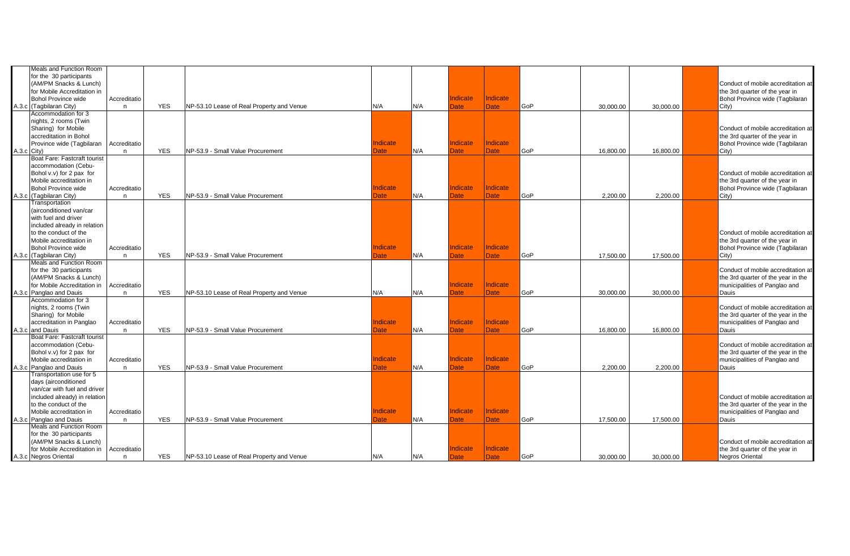| Meals and Function Room       |              |            |                                           |                 |     |                 |                 |     |           |           |                                    |
|-------------------------------|--------------|------------|-------------------------------------------|-----------------|-----|-----------------|-----------------|-----|-----------|-----------|------------------------------------|
| for the 30 participants       |              |            |                                           |                 |     |                 |                 |     |           |           |                                    |
| (AM/PM Snacks & Lunch)        |              |            |                                           |                 |     |                 |                 |     |           |           | Conduct of mobile accreditation at |
| for Mobile Accreditation in   |              |            |                                           |                 |     |                 |                 |     |           |           | the 3rd quarter of the year in     |
| <b>Bohol Province wide</b>    | Accreditatio |            |                                           |                 |     | Indicate        | Indicate        |     |           |           | Bohol Province wide (Tagbilaran    |
| A.3.c (Tagbilaran City)       | n            | <b>YES</b> | NP-53.10 Lease of Real Property and Venue | N/A             | N/A | <b>Date</b>     | Date            | GoP | 30.000.00 | 30.000.00 | City)                              |
| Accommodation for 3           |              |            |                                           |                 |     |                 |                 |     |           |           |                                    |
| nights, 2 rooms (Twin         |              |            |                                           |                 |     |                 |                 |     |           |           |                                    |
| Sharing) for Mobile           |              |            |                                           |                 |     |                 |                 |     |           |           | Conduct of mobile accreditation at |
|                               |              |            |                                           |                 |     |                 |                 |     |           |           |                                    |
| accreditation in Bohol        |              |            |                                           |                 |     |                 |                 |     |           |           | the 3rd quarter of the year in     |
| Province wide (Tagbilaran     | Accreditatio |            |                                           | <b>Indicate</b> |     | <b>Indicate</b> | Indicate        |     |           |           | Bohol Province wide (Tagbilaran    |
| A.3.c City)                   | n            | <b>YES</b> | NP-53.9 - Small Value Procurement         | <b>Date</b>     | N/A | <b>Date</b>     | <b>Date</b>     | GoP | 16,800.00 | 16,800.00 | City)                              |
| Boat Fare: Fastcraft tourist  |              |            |                                           |                 |     |                 |                 |     |           |           |                                    |
| accommodation (Cebu-          |              |            |                                           |                 |     |                 |                 |     |           |           |                                    |
| Bohol v.v) for 2 pax for      |              |            |                                           |                 |     |                 |                 |     |           |           | Conduct of mobile accreditation at |
| Mobile accreditation in       |              |            |                                           |                 |     |                 |                 |     |           |           | the 3rd quarter of the year in     |
| <b>Bohol Province wide</b>    | Accreditatio |            |                                           | Indicate        |     | Indicate        | <b>Indicate</b> |     |           |           | Bohol Province wide (Tagbilaran    |
| A.3.c (Tagbilaran City)       | n            | <b>YES</b> | NP-53.9 - Small Value Procurement         | <b>Date</b>     | N/A | <b>Date</b>     | <b>Date</b>     | GoP | 2,200.00  | 2,200.00  | City)                              |
| Transportation                |              |            |                                           |                 |     |                 |                 |     |           |           |                                    |
| (airconditioned van/car       |              |            |                                           |                 |     |                 |                 |     |           |           |                                    |
| with fuel and driver          |              |            |                                           |                 |     |                 |                 |     |           |           |                                    |
| included already in relation  |              |            |                                           |                 |     |                 |                 |     |           |           |                                    |
| to the conduct of the         |              |            |                                           |                 |     |                 |                 |     |           |           | Conduct of mobile accreditation at |
| Mobile accreditation in       |              |            |                                           |                 |     |                 |                 |     |           |           | the 3rd quarter of the year in     |
| <b>Bohol Province wide</b>    | Accreditatio |            |                                           | Indicate        |     | <b>Indicate</b> | Indicate        |     |           |           | Bohol Province wide (Tagbilaran    |
| A.3.c (Tagbilaran City)       |              | <b>YES</b> | NP-53.9 - Small Value Procurement         | Date            | N/A | Date            | <b>Date</b>     | GoP | 17,500.00 | 17,500.00 | City)                              |
| Meals and Function Room       | n.           |            |                                           |                 |     |                 |                 |     |           |           |                                    |
|                               |              |            |                                           |                 |     |                 |                 |     |           |           | Conduct of mobile accreditation at |
| for the 30 participants       |              |            |                                           |                 |     |                 |                 |     |           |           |                                    |
| (AM/PM Snacks & Lunch)        |              |            |                                           |                 |     | Indicate        | Indicate        |     |           |           | the 3rd quarter of the year in the |
| for Mobile Accreditation in   | Accreditatio |            |                                           |                 |     |                 |                 |     |           |           | municipalities of Panglao and      |
| A.3.c Panglao and Dauis       | n            | <b>YES</b> | NP-53.10 Lease of Real Property and Venue | N/A             | N/A | Date            | <b>Date</b>     | GoP | 30.000.00 | 30.000.00 | Dauis                              |
| Accommodation for 3           |              |            |                                           |                 |     |                 |                 |     |           |           |                                    |
| nights, 2 rooms (Twin         |              |            |                                           |                 |     |                 |                 |     |           |           | Conduct of mobile accreditation at |
| Sharing) for Mobile           |              |            |                                           |                 |     |                 |                 |     |           |           | the 3rd quarter of the year in the |
| accreditation in Panglao      | Accreditatio |            |                                           | <b>Indicate</b> |     | Indicate        | <b>Indicate</b> |     |           |           | municipalities of Panglao and      |
| A.3.c and Dauis               | n            | <b>YES</b> | NP-53.9 - Small Value Procurement         | Date            | N/A | Date            | <b>Date</b>     | GoP | 16,800.00 | 16,800.00 | Dauis                              |
| Boat Fare: Fastcraft tourist  |              |            |                                           |                 |     |                 |                 |     |           |           |                                    |
| accommodation (Cebu-          |              |            |                                           |                 |     |                 |                 |     |           |           | Conduct of mobile accreditation at |
| Bohol v.v) for 2 pax for      |              |            |                                           |                 |     |                 |                 |     |           |           | the 3rd quarter of the year in the |
| Mobile accreditation in       | Accreditatio |            |                                           | <b>Indicate</b> |     | Indicate        | <b>Indicate</b> |     |           |           | municipalities of Panglao and      |
| A.3.c Panglao and Dauis       | n.           | <b>YES</b> | NP-53.9 - Small Value Procurement         | Date            | N/A | <b>Date</b>     | <b>Date</b>     | GoP | 2.200.00  | 2,200.00  | Dauis                              |
| Transportation use for 5      |              |            |                                           |                 |     |                 |                 |     |           |           |                                    |
| days (airconditioned          |              |            |                                           |                 |     |                 |                 |     |           |           |                                    |
| van/car with fuel and driver  |              |            |                                           |                 |     |                 |                 |     |           |           |                                    |
| included already) in relation |              |            |                                           |                 |     |                 |                 |     |           |           | Conduct of mobile accreditation at |
| to the conduct of the         |              |            |                                           |                 |     |                 |                 |     |           |           | the 3rd quarter of the year in the |
| Mobile accreditation in       | Accreditatio |            |                                           | Indicate        |     | Indicate        | Indicate        |     |           |           | municipalities of Panglao and      |
| A.3.c Panglao and Dauis       | n            | <b>YES</b> | NP-53.9 - Small Value Procurement         | Date            | N/A | Date            | Date            | GoP | 17,500.00 | 17,500.00 | Dauis                              |
| Meals and Function Room       |              |            |                                           |                 |     |                 |                 |     |           |           |                                    |
| for the 30 participants       |              |            |                                           |                 |     |                 |                 |     |           |           |                                    |
| (AM/PM Snacks & Lunch)        |              |            |                                           |                 |     |                 |                 |     |           |           | Conduct of mobile accreditation at |
| for Mobile Accreditation in   |              |            |                                           |                 |     | Indicate        | Indicate        |     |           |           |                                    |
|                               | Accreditatio |            |                                           |                 |     |                 |                 |     |           |           | the 3rd quarter of the year in     |
| A.3.c Negros Oriental         | n.           | <b>YES</b> | NP-53.10 Lease of Real Property and Venue | N/A             | N/A | <b>Date</b>     | <b>Date</b>     | GoP | 30,000.00 | 30,000.00 | Negros Oriental                    |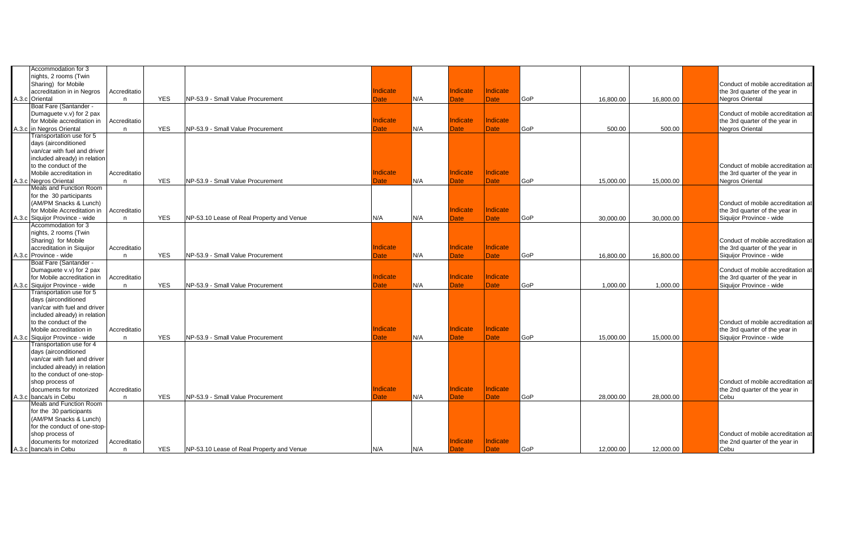| Accommodation for 3            |              |            |                                           |                 |     |                 |                 |     |           |           |                                    |
|--------------------------------|--------------|------------|-------------------------------------------|-----------------|-----|-----------------|-----------------|-----|-----------|-----------|------------------------------------|
| nights, 2 rooms (Twin          |              |            |                                           |                 |     |                 |                 |     |           |           |                                    |
| Sharing) for Mobile            |              |            |                                           |                 |     |                 |                 |     |           |           | Conduct of mobile accreditation at |
| accreditation in in Negros     | Accreditatio |            |                                           | Indicate        |     | Indicate        | <b>Indicate</b> |     |           |           | the 3rd quarter of the year in     |
| A.3.c Oriental                 | n            | <b>YES</b> | NP-53.9 - Small Value Procurement         | Date            | N/A | <b>Date</b>     | <b>Date</b>     | GoP | 16,800.00 | 16,800.00 | Negros Oriental                    |
| Boat Fare (Santander -         |              |            |                                           |                 |     |                 |                 |     |           |           |                                    |
| Dumaguete v.v) for 2 pax       |              |            |                                           |                 |     |                 |                 |     |           |           | Conduct of mobile accreditation at |
| for Mobile accreditation in    | Accreditatio |            |                                           | Indicate        |     | <b>Indicate</b> | Indicate        |     |           |           | the 3rd quarter of the year in     |
| A.3.c in Negros Oriental       | n            | <b>YES</b> | NP-53.9 - Small Value Procurement         | <b>Date</b>     | N/A | <b>Date</b>     | <b>Date</b>     | GoP | 500.00    | 500.00    | <b>Negros Oriental</b>             |
| Transportation use for 5       |              |            |                                           |                 |     |                 |                 |     |           |           |                                    |
| days (airconditioned           |              |            |                                           |                 |     |                 |                 |     |           |           |                                    |
| van/car with fuel and driver   |              |            |                                           |                 |     |                 |                 |     |           |           |                                    |
| included already) in relation  |              |            |                                           |                 |     |                 |                 |     |           |           |                                    |
| to the conduct of the          |              |            |                                           |                 |     |                 |                 |     |           |           | Conduct of mobile accreditation at |
| Mobile accreditation in        | Accreditatio |            |                                           | Indicate        |     | Indicate        | <b>Indicate</b> |     |           |           | the 3rd quarter of the year in     |
| A.3.c Negros Oriental          | n            | <b>YES</b> | NP-53.9 - Small Value Procurement         | <b>Date</b>     | N/A | <b>Date</b>     | <b>Date</b>     | GoP | 15.000.00 | 15,000.00 | <b>Negros Oriental</b>             |
| Meals and Function Room        |              |            |                                           |                 |     |                 |                 |     |           |           |                                    |
| for the 30 participants        |              |            |                                           |                 |     |                 |                 |     |           |           |                                    |
| (AM/PM Snacks & Lunch)         |              |            |                                           |                 |     |                 |                 |     |           |           | Conduct of mobile accreditation at |
| for Mobile Accreditation in    | Accreditatio |            |                                           |                 |     | Indicate        | Indicate        |     |           |           | the 3rd quarter of the year in     |
| A.3.c Siquijor Province - wide | n            | <b>YES</b> | NP-53.10 Lease of Real Property and Venue | N/A             | N/A | <b>Date</b>     | <b>Date</b>     | GoP | 30.000.00 | 30,000.00 | Siquijor Province - wide           |
| Accommodation for 3            |              |            |                                           |                 |     |                 |                 |     |           |           |                                    |
| nights, 2 rooms (Twin          |              |            |                                           |                 |     |                 |                 |     |           |           |                                    |
| Sharing) for Mobile            |              |            |                                           |                 |     |                 |                 |     |           |           | Conduct of mobile accreditation at |
| accreditation in Siguijor      | Accreditatio |            |                                           | Indicate        |     | <b>Indicate</b> | <b>Indicate</b> |     |           |           | the 3rd quarter of the year in     |
| A.3.c Province - wide          |              | <b>YES</b> | NP-53.9 - Small Value Procurement         |                 | N/A | Date            | <b>Date</b>     | GoP | 16,800.00 | 16,800.00 | Siquijor Province - wide           |
| Boat Fare (Santander -         | n            |            |                                           | Date            |     |                 |                 |     |           |           |                                    |
|                                |              |            |                                           |                 |     |                 |                 |     |           |           |                                    |
| Dumaguete v.v) for 2 pax       |              |            |                                           | Indicate        |     | Indicate        | Indicate        |     |           |           | Conduct of mobile accreditation at |
| for Mobile accreditation in    | Accreditatio |            |                                           |                 |     |                 |                 |     |           |           | the 3rd quarter of the year in     |
| A.3.c Siquijor Province - wide | n            | <b>YES</b> | NP-53.9 - Small Value Procurement         | Date            | N/A | <b>Date</b>     | <b>Date</b>     | GoP | 1.000.00  | 1,000.00  | Siquijor Province - wide           |
| Transportation use for 5       |              |            |                                           |                 |     |                 |                 |     |           |           |                                    |
| days (airconditioned           |              |            |                                           |                 |     |                 |                 |     |           |           |                                    |
| van/car with fuel and driver   |              |            |                                           |                 |     |                 |                 |     |           |           |                                    |
| included already) in relation  |              |            |                                           |                 |     |                 |                 |     |           |           |                                    |
| to the conduct of the          |              |            |                                           |                 |     |                 |                 |     |           |           | Conduct of mobile accreditation at |
| Mobile accreditation in        | Accreditatio |            |                                           | <b>Indicate</b> |     | Indicate        | <b>Indicate</b> |     |           |           | the 3rd quarter of the year in     |
| A.3.c Siquijor Province - wide | n            | <b>YES</b> | NP-53.9 - Small Value Procurement         | <b>Date</b>     | N/A | <b>Date</b>     | <b>Date</b>     | GoP | 15,000.00 | 15,000.00 | Siquijor Province - wide           |
| Transportation use for 4       |              |            |                                           |                 |     |                 |                 |     |           |           |                                    |
| days (airconditioned           |              |            |                                           |                 |     |                 |                 |     |           |           |                                    |
| van/car with fuel and driver   |              |            |                                           |                 |     |                 |                 |     |           |           |                                    |
| included already) in relation  |              |            |                                           |                 |     |                 |                 |     |           |           |                                    |
| to the conduct of one-stop-    |              |            |                                           |                 |     |                 |                 |     |           |           |                                    |
| shop process of                |              |            |                                           |                 |     |                 |                 |     |           |           | Conduct of mobile accreditation at |
| documents for motorized        | Accreditatio |            |                                           | Indicate        |     | Indicate        | <b>Indicate</b> |     |           |           | the 2nd quarter of the year in     |
| A.3.c banca/s in Cebu          | n            | <b>YES</b> | NP-53.9 - Small Value Procurement         | Date            | N/A | Date            | <b>Date</b>     | GoP | 28,000.00 | 28,000.00 | Cebu                               |
| Meals and Function Room        |              |            |                                           |                 |     |                 |                 |     |           |           |                                    |
| for the 30 participants        |              |            |                                           |                 |     |                 |                 |     |           |           |                                    |
| (AM/PM Snacks & Lunch)         |              |            |                                           |                 |     |                 |                 |     |           |           |                                    |
| for the conduct of one-stop-   |              |            |                                           |                 |     |                 |                 |     |           |           |                                    |
| shop process of                |              |            |                                           |                 |     |                 |                 |     |           |           | Conduct of mobile accreditation at |
| documents for motorized        | Accreditatio |            |                                           |                 |     | Indicate        | <b>Indicate</b> |     |           |           | the 2nd quarter of the year in     |
| A.3.c banca/s in Cebu          | n            | <b>YES</b> | NP-53.10 Lease of Real Property and Venue | N/A             | N/A | <b>Date</b>     | <b>Date</b>     | GoP | 12,000.00 | 12,000.00 | Cebu                               |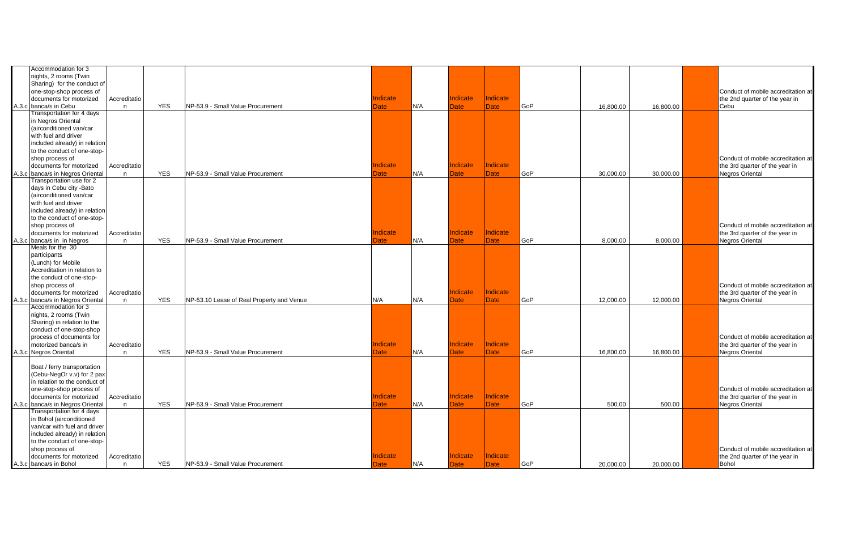| Accommodation for 3<br>nights, 2 rooms (Twin          |              |            |                                           |                 |     |                 |                 |     |           |           |                                                          |
|-------------------------------------------------------|--------------|------------|-------------------------------------------|-----------------|-----|-----------------|-----------------|-----|-----------|-----------|----------------------------------------------------------|
| Sharing) for the conduct of                           |              |            |                                           |                 |     |                 |                 |     |           |           |                                                          |
| one-stop-shop process of                              |              |            |                                           |                 |     |                 |                 |     |           |           | Conduct of mobile accreditation at                       |
| documents for motorized                               | Accreditatio |            |                                           | <b>Indicate</b> |     | <b>Indicate</b> | Indicate        |     |           |           | the 2nd quarter of the year in                           |
| A.3.c banca/s in Cebu                                 | n            | <b>YES</b> | NP-53.9 - Small Value Procurement         | <b>Date</b>     | N/A | <b>Date</b>     | <b>Date</b>     | GoP | 16,800.00 | 16,800.00 | Cebu                                                     |
| Transportation for 4 days                             |              |            |                                           |                 |     |                 |                 |     |           |           |                                                          |
| in Negros Oriental                                    |              |            |                                           |                 |     |                 |                 |     |           |           |                                                          |
| (airconditioned van/car                               |              |            |                                           |                 |     |                 |                 |     |           |           |                                                          |
| with fuel and driver                                  |              |            |                                           |                 |     |                 |                 |     |           |           |                                                          |
| included already) in relation                         |              |            |                                           |                 |     |                 |                 |     |           |           |                                                          |
| to the conduct of one-stop-                           |              |            |                                           |                 |     |                 |                 |     |           |           |                                                          |
| shop process of                                       |              |            |                                           |                 |     |                 |                 |     |           |           | Conduct of mobile accreditation at                       |
| documents for motorized                               | Accreditatio |            |                                           | <b>Indicate</b> |     | <b>Indicate</b> | Indicate        |     |           |           | the 3rd quarter of the year in                           |
| A.3.c banca/s in Negros Oriental                      | n            | <b>YES</b> | NP-53.9 - Small Value Procurement         | Date            | N/A | <b>Date</b>     | <b>Date</b>     | GoP | 30,000.00 | 30,000.00 | <b>Negros Oriental</b>                                   |
| Transportation use for 2                              |              |            |                                           |                 |     |                 |                 |     |           |           |                                                          |
| days in Cebu city - Bato                              |              |            |                                           |                 |     |                 |                 |     |           |           |                                                          |
| (airconditioned van/car<br>with fuel and driver       |              |            |                                           |                 |     |                 |                 |     |           |           |                                                          |
|                                                       |              |            |                                           |                 |     |                 |                 |     |           |           |                                                          |
| included already) in relation                         |              |            |                                           |                 |     |                 |                 |     |           |           |                                                          |
| to the conduct of one-stop-                           |              |            |                                           |                 |     |                 |                 |     |           |           |                                                          |
| shop process of                                       |              |            |                                           | <b>Indicate</b> |     | <b>Indicate</b> | Indicate        |     |           |           | Conduct of mobile accreditation at                       |
| documents for motorized<br>A.3.c banca/s in in Negros | Accreditatio | <b>YES</b> | NP-53.9 - Small Value Procurement         | Date            | N/A | <b>Date</b>     | Date            | GoP | 8.000.00  | 8.000.00  | the 3rd quarter of the year in<br><b>Negros Oriental</b> |
| Meals for the 30                                      | n            |            |                                           |                 |     |                 |                 |     |           |           |                                                          |
| participants                                          |              |            |                                           |                 |     |                 |                 |     |           |           |                                                          |
| (Lunch) for Mobile                                    |              |            |                                           |                 |     |                 |                 |     |           |           |                                                          |
| Accreditation in relation to                          |              |            |                                           |                 |     |                 |                 |     |           |           |                                                          |
| the conduct of one-stop-                              |              |            |                                           |                 |     |                 |                 |     |           |           |                                                          |
| shop process of                                       |              |            |                                           |                 |     |                 |                 |     |           |           | Conduct of mobile accreditation at                       |
| documents for motorized                               | Accreditatio |            |                                           |                 |     | <b>Indicate</b> | Indicate        |     |           |           | the 3rd quarter of the year in                           |
| A.3.c banca/s in Negros Oriental                      | n            | <b>YES</b> | NP-53.10 Lease of Real Property and Venue | N/A             | N/A | <b>Date</b>     | <b>Date</b>     | GoP | 12.000.00 | 12,000.00 | <b>Negros Oriental</b>                                   |
| Accommodation for 3                                   |              |            |                                           |                 |     |                 |                 |     |           |           |                                                          |
| nights, 2 rooms (Twin                                 |              |            |                                           |                 |     |                 |                 |     |           |           |                                                          |
| Sharing) in relation to the                           |              |            |                                           |                 |     |                 |                 |     |           |           |                                                          |
| conduct of one-stop-shop                              |              |            |                                           |                 |     |                 |                 |     |           |           |                                                          |
| process of documents for                              |              |            |                                           |                 |     |                 |                 |     |           |           | Conduct of mobile accreditation at                       |
| motorized banca/s in                                  | Accreditatio |            |                                           | Indicate        |     | Indicate        | Indicate        |     |           |           | the 3rd quarter of the year in                           |
| A.3.c Negros Oriental                                 | n            | <b>YES</b> | NP-53.9 - Small Value Procurement         | Date            | N/A | <b>Date</b>     | <b>Date</b>     | GoP | 16,800.00 | 16,800.00 | <b>Negros Oriental</b>                                   |
|                                                       |              |            |                                           |                 |     |                 |                 |     |           |           |                                                          |
| Boat / ferry transportation                           |              |            |                                           |                 |     |                 |                 |     |           |           |                                                          |
| (Cebu-NegOr v.v) for 2 pax                            |              |            |                                           |                 |     |                 |                 |     |           |           |                                                          |
| in relation to the conduct of                         |              |            |                                           |                 |     |                 |                 |     |           |           |                                                          |
| one-stop-shop process of                              |              |            |                                           |                 |     |                 |                 |     |           |           | Conduct of mobile accreditation at                       |
| documents for motorized                               | Accreditatio |            |                                           | <b>Indicate</b> |     | <b>Indicate</b> | <b>Indicate</b> |     |           |           | the 3rd quarter of the year in                           |
| A.3.c banca/s in Negros Oriental                      | n            | <b>YES</b> | NP-53.9 - Small Value Procurement         | Date            | N/A | <b>Date</b>     | <b>Date</b>     | GoP | 500.00    | 500.00    | <b>Negros Oriental</b>                                   |
| Transportation for 4 days                             |              |            |                                           |                 |     |                 |                 |     |           |           |                                                          |
| in Bohol (airconditioned                              |              |            |                                           |                 |     |                 |                 |     |           |           |                                                          |
| van/car with fuel and driver                          |              |            |                                           |                 |     |                 |                 |     |           |           |                                                          |
| included already) in relation                         |              |            |                                           |                 |     |                 |                 |     |           |           |                                                          |
| to the conduct of one-stop-                           |              |            |                                           |                 |     |                 |                 |     |           |           |                                                          |
| shop process of                                       |              |            |                                           |                 |     |                 |                 |     |           |           | Conduct of mobile accreditation at                       |
| documents for motorized                               | Accreditatio |            |                                           | Indicate        |     | Indicate        | <b>Indicate</b> |     |           |           | the 2nd quarter of the year in                           |
| A.3.c banca/s in Bohol                                | n            | <b>YES</b> | NP-53.9 - Small Value Procurement         | <b>Date</b>     | N/A | <b>Date</b>     | <b>Date</b>     | GoP | 20,000.00 | 20,000.00 | <b>Bohol</b>                                             |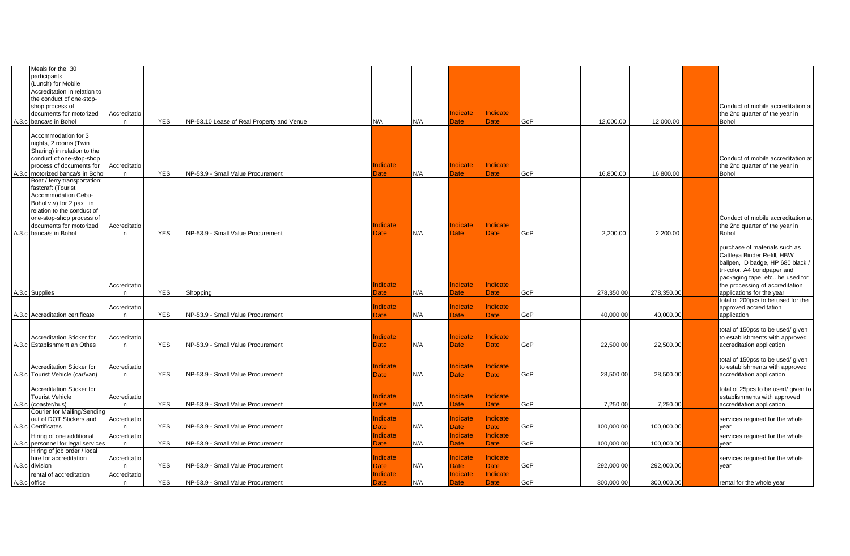| Meals for the 30                        |              |            |                                           |                         |     |                         |                                |     |            |            |                                                              |
|-----------------------------------------|--------------|------------|-------------------------------------------|-------------------------|-----|-------------------------|--------------------------------|-----|------------|------------|--------------------------------------------------------------|
| participants                            |              |            |                                           |                         |     |                         |                                |     |            |            |                                                              |
| (Lunch) for Mobile                      |              |            |                                           |                         |     |                         |                                |     |            |            |                                                              |
| Accreditation in relation to            |              |            |                                           |                         |     |                         |                                |     |            |            |                                                              |
| the conduct of one-stop-                |              |            |                                           |                         |     |                         |                                |     |            |            |                                                              |
| shop process of                         |              |            |                                           |                         |     |                         |                                |     |            |            | Conduct of mobile accreditation at                           |
| documents for motorized                 | Accreditatio |            |                                           |                         |     | Indicate                | Indicate                       |     |            |            | the 2nd quarter of the year in                               |
| A.3.c banca/s in Bohol                  | n            | <b>YES</b> | NP-53.10 Lease of Real Property and Venue | N/A                     | N/A | <b>Date</b>             | <b>Date</b>                    | GoP | 12,000.00  | 12,000.00  | Bohol                                                        |
|                                         |              |            |                                           |                         |     |                         |                                |     |            |            |                                                              |
| Accommodation for 3                     |              |            |                                           |                         |     |                         |                                |     |            |            |                                                              |
| nights, 2 rooms (Twin                   |              |            |                                           |                         |     |                         |                                |     |            |            |                                                              |
| Sharing) in relation to the             |              |            |                                           |                         |     |                         |                                |     |            |            |                                                              |
| conduct of one-stop-shop                |              |            |                                           |                         |     |                         |                                |     |            |            | Conduct of mobile accreditation at                           |
| process of documents for                | Accreditatio |            |                                           | Indicate                |     | Indicate                | Indicate                       |     |            |            | the 2nd quarter of the year in                               |
| A.3.c   motorized banca/s in Bohol      | n.           | <b>YES</b> | NP-53.9 - Small Value Procurement         | Date                    | N/A | Date                    | <b>Date</b>                    | GoP | 16,800.00  | 16,800.00  | Bohol                                                        |
| Boat / ferry transportation:            |              |            |                                           |                         |     |                         |                                |     |            |            |                                                              |
| fastcraft (Tourist                      |              |            |                                           |                         |     |                         |                                |     |            |            |                                                              |
| Accommodation Cebu-                     |              |            |                                           |                         |     |                         |                                |     |            |            |                                                              |
| Bohol v.v) for 2 pax in                 |              |            |                                           |                         |     |                         |                                |     |            |            |                                                              |
| relation to the conduct of              |              |            |                                           |                         |     |                         |                                |     |            |            |                                                              |
| one-stop-shop process of                |              |            |                                           |                         |     |                         |                                |     |            |            | Conduct of mobile accreditation at                           |
| documents for motorized                 | Accreditatio |            |                                           | Indicate                |     | Indicate                | Indicate                       |     |            |            | the 2nd quarter of the year in                               |
| A.3.c banca/s in Bohol                  | n            | <b>YES</b> | NP-53.9 - Small Value Procurement         | Date                    | N/A | Date                    | <b>Date</b>                    | GoP | 2,200.00   | 2,200.00   | Bohol                                                        |
|                                         |              |            |                                           |                         |     |                         |                                |     |            |            |                                                              |
|                                         |              |            |                                           |                         |     |                         |                                |     |            |            | purchase of materials such as                                |
|                                         |              |            |                                           |                         |     |                         |                                |     |            |            | Cattleya Binder Refill, HBW                                  |
|                                         |              |            |                                           |                         |     |                         |                                |     |            |            | ballpen, ID badge, HP 680 black /                            |
|                                         |              |            |                                           |                         |     |                         |                                |     |            |            | tri-color, A4 bondpaper and                                  |
|                                         |              |            |                                           |                         |     |                         |                                |     |            |            | packaging tape, etc be used for                              |
|                                         | Accreditatio |            |                                           | Indicate                |     | <b>Indicate</b>         | Indicate                       |     |            |            |                                                              |
| A.3.c Supplies                          | n            | <b>YES</b> |                                           |                         | N/A | Date                    |                                | GoP | 278,350.00 | 278,350.00 | the processing of accreditation<br>applications for the year |
|                                         |              |            | Shopping                                  | Date                    |     |                         | <b>Date</b>                    |     |            |            | total of 200pcs to be used for the                           |
|                                         | Accreditatio |            |                                           | <b>Indicate</b>         |     | Indicate                | <b>Indicate</b>                |     |            |            | approved accreditation                                       |
| A.3.c Accreditation certificate         | n            | <b>YES</b> | NP-53.9 - Small Value Procurement         | Date                    | N/A | <b>Date</b>             | <b>Date</b>                    | GoP | 40,000.00  | 40,000.00  | application                                                  |
|                                         |              |            |                                           |                         |     |                         |                                |     |            |            |                                                              |
|                                         |              |            |                                           |                         |     |                         |                                |     |            |            | total of 150pcs to be used/ given                            |
| <b>Accreditation Sticker for</b>        | Accreditatio |            |                                           | <b>Indicate</b>         |     | <b>Indicate</b>         | <b>Indicate</b>                |     |            |            | to establishments with approved                              |
| A.3.c Establishment an Othes            |              | <b>YES</b> | NP-53.9 - Small Value Procurement         | Date                    | N/A | Date                    | <b>Date</b>                    | GoP | 22,500.00  | 22,500.00  | accreditation application                                    |
|                                         | n            |            |                                           |                         |     |                         |                                |     |            |            |                                                              |
|                                         |              |            |                                           |                         |     |                         |                                |     |            |            | total of 150pcs to be used/ given                            |
| <b>Accreditation Sticker for</b>        | Accreditatio |            |                                           | Indicate                |     | <b>Indicate</b>         | <b>Indicate</b>                |     |            |            | to establishments with approved                              |
| A.3.c Tourist Vehicle (car/van)         | n            | <b>YES</b> | NP-53.9 - Small Value Procurement         | Date                    | N/A | Date                    | <b>Date</b>                    | GoP | 28,500.00  | 28,500.00  | accreditation application                                    |
|                                         |              |            |                                           |                         |     |                         |                                |     |            |            |                                                              |
| <b>Accreditation Sticker for</b>        |              |            |                                           |                         |     |                         |                                |     |            |            | total of 25pcs to be used/ given to                          |
| <b>Tourist Vehicle</b>                  | Accreditatio |            |                                           | Indicate                |     | <b>Indicate</b>         | Indicate                       |     |            |            | establishments with approved                                 |
| A.3.c (coaster/bus)                     |              | <b>YES</b> | NP-53.9 - Small Value Procurement         | Date                    | N/A | Date                    | Date                           | GoP | 7,250.00   | 7,250.00   | accreditation application                                    |
| Courier for Mailing/Sending             | n            |            |                                           |                         |     |                         |                                |     |            |            |                                                              |
| out of DOT Stickers and                 | Accreditatio |            |                                           | <b>Indicate</b>         |     | <b>Indicate</b>         | Indicate                       |     |            |            | services required for the whole                              |
| A.3.c Certificates                      | n            | <b>YES</b> | NP-53.9 - Small Value Procurement         | Date                    | N/A | <b>Date</b>             | Date                           | GoP | 100,000.00 | 100,000.00 |                                                              |
|                                         |              |            |                                           |                         |     |                         |                                |     |            |            | year                                                         |
|                                         | Accreditatio |            |                                           | <b>Indicate</b>         |     | Indicate                | <b>Indicate</b>                |     |            |            | services required for the whole                              |
| Hiring of one additional                |              |            |                                           |                         |     |                         |                                |     |            |            |                                                              |
| A.3.c personnel for legal services      | n.           | <b>YES</b> | NP-53.9 - Small Value Procurement         | Date                    | N/A | Date                    | <b>Date</b>                    | GoP | 100,000.00 | 100,000.00 | year                                                         |
| Hiring of job order / local             |              |            |                                           |                         |     |                         |                                |     |            |            |                                                              |
| hire for accreditation                  | Accreditatio |            |                                           | Indicate                |     | Indicate                | Indicate                       |     |            |            | services required for the whole                              |
| A.3.c division                          | n            | <b>YES</b> | NP-53.9 - Small Value Procurement         | Date                    | N/A | <b>Date</b>             | <b>Date</b>                    | GoP | 292.000.00 | 292,000.00 | year                                                         |
| rental of accreditation<br>A.3.c office | Accreditatio | <b>YES</b> | NP-53.9 - Small Value Procurement         | <b>Indicate</b><br>Date | N/A | Indicate<br><b>Date</b> | <b>Indicate</b><br><b>Date</b> | GoP | 300,000.00 | 300,000.00 | rental for the whole year                                    |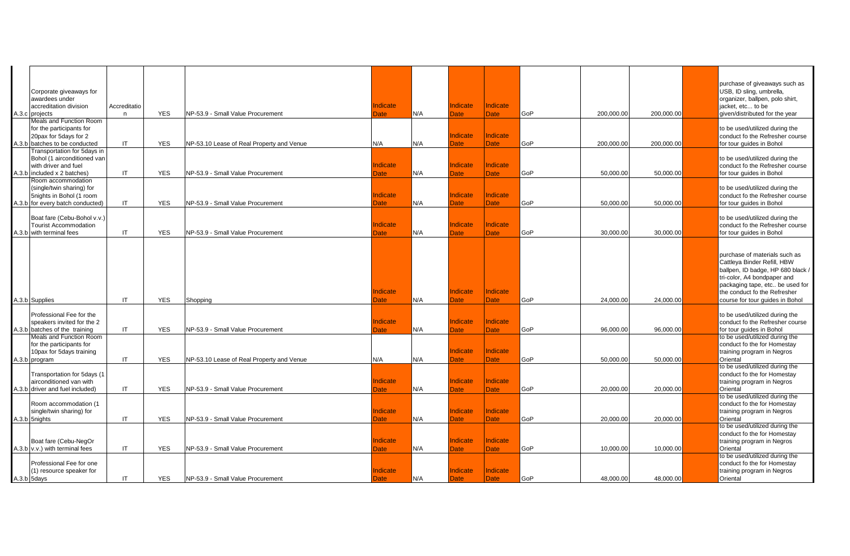|                                                        |                        |            |                                           |             |     |             |                 |     |            |            | purchase of giveaways such as                                     |
|--------------------------------------------------------|------------------------|------------|-------------------------------------------|-------------|-----|-------------|-----------------|-----|------------|------------|-------------------------------------------------------------------|
| Corporate giveaways for<br>awardees under              |                        |            |                                           |             |     |             |                 |     |            |            | USB, ID sling, umbrella,<br>organizer, ballpen, polo shirt,       |
| accreditation division                                 | Accreditatio           |            |                                           | Indicate    |     | Indicate    | Indicate        |     |            |            | jacket, etc to be                                                 |
| A.3.c projects                                         | n                      | <b>YES</b> | NP-53.9 - Small Value Procurement         | Date        | N/A | Date        | Date            | GoP | 200,000.00 | 200,000.00 | given/distributed for the year                                    |
| <b>Meals and Function Room</b>                         |                        |            |                                           |             |     |             |                 |     |            |            |                                                                   |
| for the participants for                               |                        |            |                                           |             |     | Indicate    | Indicate        |     |            |            | to be used/utilized during the                                    |
| 20pax for 5days for 2<br>A.3.b batches to be conducted | IT.                    | <b>YES</b> | NP-53.10 Lease of Real Property and Venue | N/A         | N/A | Date        | <b>Date</b>     | GoP | 200,000.00 | 200,000.00 | conduct fo the Refresher course<br>for tour guides in Bohol       |
| Transportation for 5days in                            |                        |            |                                           |             |     |             |                 |     |            |            |                                                                   |
| Bohol (1 airconditioned van                            |                        |            |                                           |             |     |             |                 |     |            |            | to be used/utilized during the                                    |
| with driver and fuel                                   |                        |            |                                           | Indicate    |     | Indicate    | Indicate        |     |            |            | conduct fo the Refresher course                                   |
| A.3.b included x 2 batches)                            | IT                     | <b>YES</b> | NP-53.9 - Small Value Procurement         | Date        | N/A | Date        | Date            | GoP | 50,000.00  | 50,000.00  | for tour guides in Bohol                                          |
| Room accommodation                                     |                        |            |                                           |             |     |             |                 |     |            |            |                                                                   |
| (single/twin sharing) for<br>5nights in Bohol (1 room  |                        |            |                                           | Indicate    |     | Indicate    | Indicate        |     |            |            | to be used/utilized during the<br>conduct fo the Refresher course |
| A.3.b for every batch conducted)                       | IT                     | <b>YES</b> | NP-53.9 - Small Value Procurement         | <b>Date</b> | N/A | Date        | Date            | GoP | 50,000.00  | 50,000.00  | for tour guides in Bohol                                          |
|                                                        |                        |            |                                           |             |     |             |                 |     |            |            |                                                                   |
| Boat fare (Cebu-Bohol v.v.)                            |                        |            |                                           |             |     |             |                 |     |            |            | to be used/utilized during the                                    |
| <b>Tourist Accommodation</b>                           |                        |            |                                           | Indicate    |     | Indicate    | Indicate        |     |            |            | conduct fo the Refresher course                                   |
| A.3.b with terminal fees                               | IT                     | <b>YES</b> | NP-53.9 - Small Value Procurement         | Date        | N/A | <b>Date</b> | <b>Date</b>     | GoP | 30.000.00  | 30,000.00  | for tour guides in Bohol                                          |
|                                                        |                        |            |                                           |             |     |             |                 |     |            |            |                                                                   |
|                                                        |                        |            |                                           |             |     |             |                 |     |            |            | purchase of materials such as                                     |
|                                                        |                        |            |                                           |             |     |             |                 |     |            |            | Cattleya Binder Refill, HBW                                       |
|                                                        |                        |            |                                           |             |     |             |                 |     |            |            | ballpen, ID badge, HP 680 black /                                 |
|                                                        |                        |            |                                           |             |     |             |                 |     |            |            | tri-color, A4 bondpaper and                                       |
|                                                        |                        |            |                                           |             |     |             |                 |     |            |            | packaging tape, etc be used for                                   |
|                                                        |                        |            |                                           | Indicate    |     | Indicate    | Indicate        |     |            |            | the conduct fo the Refresher                                      |
| A.3.b Supplies                                         | IT                     | <b>YES</b> | Shopping                                  | Date        | N/A | Date        | Date            | GoP | 24,000.00  | 24,000.00  | course for tour guides in Bohol                                   |
| Professional Fee for the                               |                        |            |                                           |             |     |             |                 |     |            |            | to be used/utilized during the                                    |
| speakers invited for the 2                             |                        |            |                                           | Indicate    |     | Indicate    | Indicate        |     |            |            | conduct fo the Refresher course                                   |
| A.3.b batches of the training                          | IT                     | <b>YES</b> | NP-53.9 - Small Value Procurement         | Date        | N/A | Date        | <b>Date</b>     | GoP | 96,000.00  | 96,000.00  | for tour quides in Bohol                                          |
| Meals and Function Room                                |                        |            |                                           |             |     |             |                 |     |            |            | to be used/utilized during the                                    |
| for the participants for                               |                        |            |                                           |             |     |             |                 |     |            |            | conduct fo the for Homestay                                       |
| 10pax for 5days training                               | IT                     | <b>YES</b> | NP-53.10 Lease of Real Property and Venue | N/A         | N/A | Indicate    | Indicate        | GoP | 50,000.00  | 50,000.00  | training program in Negros<br>Oriental                            |
| A.3.b program                                          |                        |            |                                           |             |     | <b>Date</b> | <b>Date</b>     |     |            |            | to be used/utilized during the                                    |
| Transportation for 5days (1                            |                        |            |                                           |             |     |             |                 |     |            |            | conduct fo the for Homestay                                       |
| airconditioned van with                                |                        |            |                                           | Indicate    |     | Indicate    | Indicate        |     |            |            | training program in Negros                                        |
| A.3.b driver and fuel included)                        | IT                     | <b>YES</b> | NP-53.9 - Small Value Procurement         | Date        | N/A | Date        | Date            | GoP | 20,000.00  | 20,000.00  | Oriental                                                          |
|                                                        |                        |            |                                           |             |     |             |                 |     |            |            | to be used/utilized during the                                    |
| Room accommodation (1                                  |                        |            |                                           | Indicate    |     | Indicate    | Indicate        |     |            |            | conduct fo the for Homestay                                       |
| single/twin sharing) for<br>A.3.b 5nights              | $\mathsf{I}\mathsf{T}$ | <b>YES</b> | NP-53.9 - Small Value Procurement         | Date        | N/A | Date        | <b>Date</b>     | GoP | 20,000.00  | 20,000.00  | training program in Negros<br>Oriental                            |
|                                                        |                        |            |                                           |             |     |             |                 |     |            |            | to be used/utilized during the                                    |
|                                                        |                        |            |                                           |             |     |             |                 |     |            |            | conduct fo the for Homestay                                       |
| Boat fare (Cebu-NegOr                                  |                        |            |                                           | Indicate    |     | Indicate    | <b>Indicate</b> |     |            |            | training program in Negros                                        |
| A.3.b v.v.) with terminal fees                         | IT                     | <b>YES</b> | NP-53.9 - Small Value Procurement         | Date        | N/A | Date        | <b>Date</b>     | GoP | 10,000.00  | 10,000.00  | Oriental                                                          |
|                                                        |                        |            |                                           |             |     |             |                 |     |            |            | to be used/utilized during the                                    |
| Professional Fee for one                               |                        |            |                                           | Indicate    |     | Indicate    | Indicate        |     |            |            | conduct fo the for Homestay                                       |
| (1) resource speaker for<br>A.3.b 5days                | IT                     | <b>YES</b> | NP-53.9 - Small Value Procurement         | <b>Date</b> | N/A | <b>Date</b> | Date            | GoP | 48.000.00  | 48,000.00  | training program in Negros<br>Oriental                            |
|                                                        |                        |            |                                           |             |     |             |                 |     |            |            |                                                                   |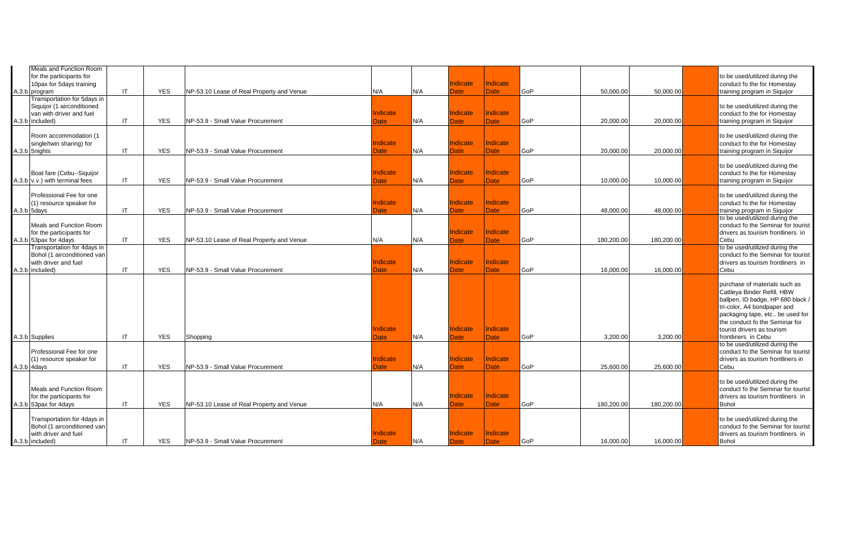| <b>Meals and Function Room</b><br>for the participants for<br>10pax for 5days training<br>A.3.b program  | $\mathsf{I}$ | <b>YES</b> | NP-53.10 Lease of Real Property and Venue | N/A                            | N/A | ndicate<br><b>Date</b>         | <b>Indicate</b><br><b>Date</b> | GoP | 50,000.00  | 50,000.00  | to be used/utilized during the<br>conduct fo the for Homestay<br>training program in Siquijor                                                                                                                                                              |
|----------------------------------------------------------------------------------------------------------|--------------|------------|-------------------------------------------|--------------------------------|-----|--------------------------------|--------------------------------|-----|------------|------------|------------------------------------------------------------------------------------------------------------------------------------------------------------------------------------------------------------------------------------------------------------|
| Transportation for 5days in<br>Siquijor (1 airconditioned<br>van with driver and fuel<br>A.3.b included) | $\mathsf{I}$ | <b>YES</b> | NP-53.9 - Small Value Procurement         | Indicate<br><b>Date</b>        | N/A | Indicate<br>Date               | <b>Indicate</b><br><b>Date</b> | GoP | 20,000.00  | 20,000.00  | to be used/utilized during the<br>conduct fo the for Homestay<br>training program in Siquijor                                                                                                                                                              |
| Room accommodation (1<br>single/twin sharing) for<br>A.3.b 5nights                                       | -IT          | <b>YES</b> | NP-53.9 - Small Value Procurement         | Indicate<br>Date               | N/A | Indicate<br>Date               | <b>Indicate</b><br><b>Date</b> | GoP | 20,000.00  | 20,000.00  | to be used/utilized during the<br>conduct fo the for Homestay<br>training program in Siquijor                                                                                                                                                              |
| Boat fare (Cebu--Siquijor<br>A.3.b v.v.) with terminal fees                                              | $\mathsf{I}$ | <b>YES</b> | NP-53.9 - Small Value Procurement         | <b>Indicate</b><br><b>Date</b> | N/A | ndicate<br>Date                | Indicate<br><b>Date</b>        | GoP | 10.000.00  | 10,000.00  | to be used/utilized during the<br>conduct fo the for Homestay<br>training program in Siquijor                                                                                                                                                              |
| Professional Fee for one<br>(1) resource speaker for<br>A.3.b 5days                                      | $\mathsf{I}$ | <b>YES</b> | NP-53.9 - Small Value Procurement         | Indicate<br><b>Date</b>        | N/A | ndicate<br>Date                | <b>Indicate</b><br><b>Date</b> | GoP | 48,000.00  | 48,000.00  | to be used/utilized during the<br>conduct fo the for Homestay<br>training program in Siquijor<br>to be used/utilized during the                                                                                                                            |
| Meals and Function Room<br>for the participants for<br>A.3.b 53pax for 4days                             | -IT          | <b>YES</b> | NP-53.10 Lease of Real Property and Venue | N/A                            | N/A | ndicate<br>Date                | <b>Indicate</b><br><b>Date</b> | GoP | 180,200.00 | 180,200.00 | conduct fo the Seminar for tourist<br>drivers as tourism frontliners in<br>Cebu                                                                                                                                                                            |
| Transportation for 4days in<br>Bohol (1 airconditioned van<br>with driver and fuel<br>A.3.b included)    | $\mathsf{I}$ | <b>YES</b> | NP-53.9 - Small Value Procurement         | <b>Indicate</b><br><b>Date</b> | N/A | Indicate<br><b>Date</b>        | <b>Indicate</b><br><b>Date</b> | GoP | 16.000.00  | 16,000.00  | to be used/utilized during the<br>conduct fo the Seminar for tourist<br>drivers as tourism frontliners in<br>Cebu                                                                                                                                          |
| A.3.b Supplies                                                                                           | -IT          | <b>YES</b> | Shopping                                  | Indicate<br><b>Date</b>        | N/A | ndicate<br>Date                | <b>Indicate</b><br><b>Date</b> | GoP | 3,200.00   | 3,200.00   | purchase of materials such as<br>Cattleya Binder Refill, HBW<br>ballpen, ID badge, HP 680 black /<br>tri-color, A4 bondpaper and<br>packaging tape, etc be used for<br>the conduct fo the Seminar for<br>tourist drivers as tourism<br>frontliners in Cebu |
| Professional Fee for one<br>(1) resource speaker for<br>A.3.b 4days                                      | IT           | <b>YES</b> | NP-53.9 - Small Value Procurement         | Indicate<br><b>Date</b>        | N/A | Indicate<br><b>Date</b>        | <b>Indicate</b><br><b>Date</b> | GoP | 25,600.00  | 25,600.00  | to be used/utilized during the<br>conduct fo the Seminar for tourist<br>drivers as tourism frontliners in<br>Cebu                                                                                                                                          |
| Meals and Function Room<br>for the participants for<br>A.3.b 53pax for 4days                             | -IT          | <b>YES</b> | NP-53.10 Lease of Real Property and Venue | N/A                            | N/A | <b>Indicate</b><br><b>Date</b> | <b>Indicate</b><br><b>Date</b> | GoP | 180,200.00 | 180,200.00 | to be used/utilized during the<br>conduct fo the Seminar for tourist<br>drivers as tourism frontliners in<br><b>Bohol</b>                                                                                                                                  |
| Transportation for 4days in<br>Bohol (1 airconditioned van<br>with driver and fuel<br>A.3.b included)    | IT           | <b>YES</b> | NP-53.9 - Small Value Procurement         | Indicate<br><b>Date</b>        | N/A | ndicate<br>Date                | <b>Indicate</b><br><b>Date</b> | GoP | 16,000.00  | 16,000.00  | to be used/utilized during the<br>conduct fo the Seminar for tourist<br>drivers as tourism frontliners in<br><b>Bohol</b>                                                                                                                                  |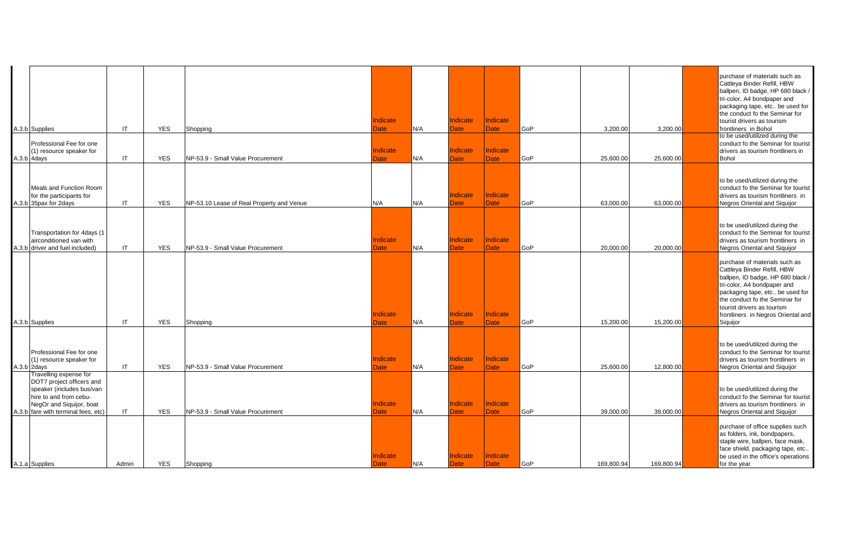| A.3.b Supplies<br>Professional Fee for one<br>(1) resource speaker for<br>A.3.b 4days                                                                                         | $\mathsf{I}$<br>$\mathsf{I}\mathsf{T}$ | <b>YES</b><br><b>YES</b> | Shopping<br>NP-53.9 - Small Value Procurement | ndicate<br>Date<br><b>Indicate</b><br>Date | N/A<br>N/A | Indicate<br>Date<br>Indicate<br><b>Date</b> | <b>Indicate</b><br>Date<br>Indicate<br><b>Date</b> | GoP<br>GoP | 3,200.00<br>25,600.00 | 3,200.00<br>25,600.00 | purchase of materials such as<br>Cattleya Binder Refill, HBW<br>ballpen, ID badge, HP 680 black /<br>tri-color, A4 bondpaper and<br>packaging tape, etc be used for<br>the conduct fo the Seminar for<br>tourist drivers as tourism<br>frontliners in Bohol<br>to be used/utilized during the<br>conduct fo the Seminar for tourist<br>drivers as tourism frontliners in<br><b>Bohol</b> |
|-------------------------------------------------------------------------------------------------------------------------------------------------------------------------------|----------------------------------------|--------------------------|-----------------------------------------------|--------------------------------------------|------------|---------------------------------------------|----------------------------------------------------|------------|-----------------------|-----------------------|------------------------------------------------------------------------------------------------------------------------------------------------------------------------------------------------------------------------------------------------------------------------------------------------------------------------------------------------------------------------------------------|
| Meals and Function Room<br>for the participants for<br>A.3.b 35pax for 2days                                                                                                  | IT                                     | <b>YES</b>               | NP-53.10 Lease of Real Property and Venue     | N/A                                        | N/A        | Indicate<br><b>Date</b>                     | Indicate<br>Date                                   | GoP        | 63,000.00             | 63,000.00             | to be used/utilized during the<br>conduct fo the Seminar for tourist<br>drivers as tourism frontliners in<br>Negros Oriental and Siguijor                                                                                                                                                                                                                                                |
| Transportation for 4days (1<br>airconditioned van with<br>A.3.b driver and fuel included)                                                                                     | $\mathsf{I}$                           | <b>YES</b>               | NP-53.9 - Small Value Procurement             | ndicate<br><b>Date</b>                     | N/A        | Indicate<br><b>Date</b>                     | <b>Indicate</b><br><b>Date</b>                     | GoP        | 20,000.00             | 20,000.00             | to be used/utilized during the<br>conduct fo the Seminar for tourist<br>drivers as tourism frontliners in<br><b>Negros Oriental and Siquijor</b>                                                                                                                                                                                                                                         |
| A.3.b Supplies                                                                                                                                                                | IT                                     | <b>YES</b>               | Shopping                                      | Indicate<br>Date                           | N/A        | Indicate<br><b>Date</b>                     | Indicate<br>Date                                   | <b>GoP</b> | 15,200.00             | 15,200.00             | purchase of materials such as<br>Cattleya Binder Refill, HBW<br>ballpen, ID badge, HP 680 black /<br>tri-color, A4 bondpaper and<br>packaging tape, etc be used for<br>the conduct fo the Seminar for<br>tourist drivers as tourism<br>frontliners in Negros Oriental and<br>Siquijor                                                                                                    |
| Professional Fee for one<br>(1) resource speaker for<br>A.3.b 2days                                                                                                           | $\mathsf{I}$                           | <b>YES</b>               | NP-53.9 - Small Value Procurement             | <b>Indicate</b><br>Date                    | N/A        | Indicate<br>Date                            | Indicate<br>Date                                   | GoP        | 25.600.00             | 12,800.00             | to be used/utilized during the<br>conduct fo the Seminar for tourist<br>drivers as tourism frontliners in<br>Negros Oriental and Siguijor                                                                                                                                                                                                                                                |
| Travelling expense for<br>DOT7 project officers and<br>speaker (includes bus/van<br>hire to and from cebu-<br>NegOr and Siquijor, boat<br>A.3.b fare with terminal fees, etc) | $\mathsf{I}$                           | <b>YES</b>               | NP-53.9 - Small Value Procurement             | Indicate<br>Date                           | N/A        | Indicate<br><b>Date</b>                     | Indicate<br><b>Date</b>                            | GoP        | 39,000.00             | 39,000.00             | to be used/utilized during the<br>conduct fo the Seminar for tourist<br>drivers as tourism frontliners in<br>Negros Oriental and Siquijor                                                                                                                                                                                                                                                |
| A.1.a Supplies                                                                                                                                                                | Admin                                  | <b>YES</b>               | Shopping                                      | ndicate<br>Date                            | N/A        | Indicate<br><b>Date</b>                     | Indicate<br><b>Date</b>                            | GoP        | 169,800.94            | 169,800.94            | purchase of office supplies such<br>as folders, ink, bondpapers,<br>staple wire, ballpen, face mask,<br>face shield, packaging tape, etc<br>be used in the office's operations<br>for the year                                                                                                                                                                                           |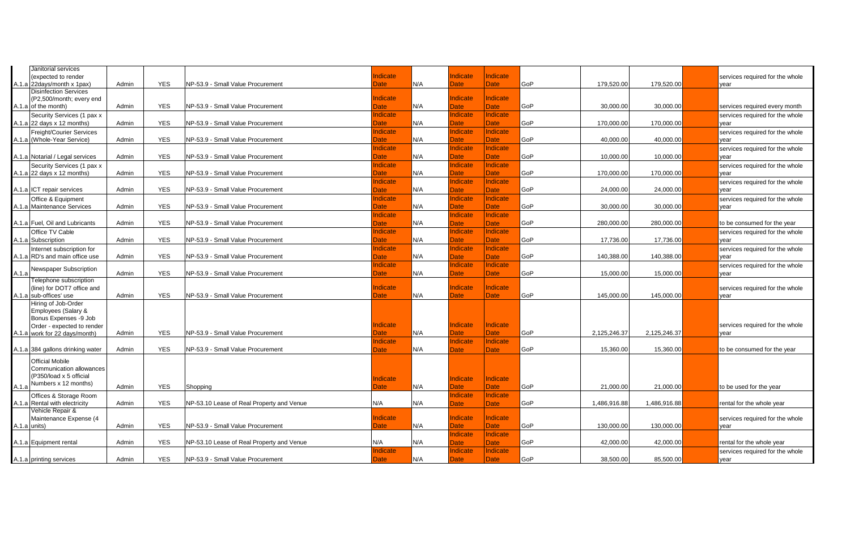|       | Janitorial services                               |       |            |                                           |                 |     |                         |                         |     |              |              |                                 |
|-------|---------------------------------------------------|-------|------------|-------------------------------------------|-----------------|-----|-------------------------|-------------------------|-----|--------------|--------------|---------------------------------|
|       | (expected to render                               |       |            |                                           | Indicate        |     | Indicate                | Indicate                |     |              |              | services required for the whole |
|       | A.1.a 22days/month x 1pax)                        | Admin | <b>YES</b> | NP-53.9 - Small Value Procurement         | Date            | N/A | Date                    | Date                    | GoP | 179,520.00   | 179,520.00   | year                            |
|       | <b>Disinfection Services</b>                      |       |            |                                           |                 |     |                         |                         |     |              |              |                                 |
|       | (P2,500/month; every end                          |       |            |                                           | <b>Indicate</b> |     | <b>Indicate</b>         | Indicate                |     |              |              |                                 |
|       | A.1.a of the month)                               | Admin | <b>YES</b> | NP-53.9 - Small Value Procurement         | Date            | N/A | Date:                   | <b>Date</b>             | GoP | 30,000.00    | 30,000.00    | services required every month   |
|       | Security Services (1 pax x                        |       |            |                                           | Indicate        |     | <b>Indicate</b>         | Indicate                |     |              |              | services required for the whole |
|       | A.1.a $22$ days x 12 months)                      | Admin | <b>YES</b> | NP-53.9 - Small Value Procurement         | Date            | N/A | Date                    | <b>Date</b>             | GoP | 170.000.00   | 170,000.00   | vear                            |
|       | Freight/Courier Services                          |       |            |                                           | Indicate        |     | <b>Indicate</b>         | <b>Indicate</b>         |     |              |              | services required for the whole |
|       | A.1.a (Whole-Year Service)                        | Admin | <b>YES</b> | NP-53.9 - Small Value Procurement         | Date            | N/A | Date                    | Date                    | GoP | 40,000.00    | 40,000.00    | year                            |
|       |                                                   |       |            |                                           | Indicate        |     | Indicate                | Indicate                |     |              |              | services required for the whole |
|       | A.1.a Notarial / Legal services                   | Admin | <b>YES</b> | NP-53.9 - Small Value Procurement         | <b>Date</b>     | N/A | Date                    | <b>Date</b>             | GoP | 10,000.00    | 10,000.00    | year                            |
|       | Security Services (1 pax x                        |       |            |                                           | Indicate        |     | <b>Indicate</b>         | Indicate                |     |              |              | services required for the whole |
|       | A.1.a $22$ days $x$ 12 months)                    | Admin | <b>YES</b> | NP-53.9 - Small Value Procurement         | <b>Date</b>     | N/A | Date                    | <b>Date</b>             | GoP | 170,000.00   | 170,000.00   | year                            |
|       |                                                   |       |            |                                           | Indicate        |     | <b>Indicate</b>         | Indicate                |     |              |              | services required for the whole |
|       | A.1.a ICT repair services                         | Admin | <b>YES</b> | NP-53.9 - Small Value Procurement         | Date            | N/A | Date                    | <b>Date</b>             | GoP | 24,000.00    | 24,000.00    | year                            |
|       | Office & Equipment                                |       |            |                                           | Indicate        |     | <b>Indicate</b>         | Indicate                |     |              |              | services required for the whole |
|       | A.1.a Maintenance Services                        | Admin | <b>YES</b> | NP-53.9 - Small Value Procurement         | $\mathsf{Date}$ | N/A | Date                    | Date                    | GoP | 30.000.00    | 30.000.00    | year                            |
|       |                                                   |       |            |                                           | <b>Indicate</b> |     | <b>Indicate</b>         | Indicate                |     |              |              |                                 |
|       | A.1.a Fuel, Oil and Lubricants                    | Admin | <b>YES</b> | NP-53.9 - Small Value Procurement         | Date            | N/A | Date:                   | Date                    | GoP | 280,000.00   | 280,000.00   | to be consumed for the year     |
|       | Office TV Cable                                   |       |            |                                           | Indicate        |     | <b>Indicate</b>         | Indicate                |     |              |              | services required for the whole |
|       | A.1.a Subscription                                | Admin | <b>YES</b> | NP-53.9 - Small Value Procurement         | Date            | N/A | Date                    | <b>Date</b>             | GoP | 17,736.00    | 17,736.00    | year                            |
|       | Internet subscription for                         |       |            |                                           | Indicate        |     | <b>Indicate</b>         | Indicate                |     |              |              | services required for the whole |
|       | A.1.a RD's and main office use                    | Admin | <b>YES</b> | NP-53.9 - Small Value Procurement         | Date            | N/A | ate                     | <b>Date</b>             | GoP | 140,388.00   | 140,388.00   | year                            |
|       | Newspaper Subscription                            |       |            |                                           | Indicate        |     | <b>Indicate</b>         | Indicate                |     |              |              | services required for the whole |
| A.1.a |                                                   | Admin | <b>YES</b> | NP-53.9 - Small Value Procurement         | Date            | N/A | Date                    | <b>Date</b>             | GoP | 15,000.00    | 15,000.00    | year                            |
|       | Telephone subscription                            |       |            |                                           |                 |     |                         |                         |     |              |              |                                 |
|       | (line) for DOT7 office and                        |       |            |                                           | <b>Indicate</b> |     | <b>Indicate</b>         | Indicate                |     |              |              | services required for the whole |
|       | A.1.a sub-offices' use<br>Hiring of Job-Order     | Admin | <b>YES</b> | NP-53.9 - Small Value Procurement         | <b>Date</b>     | N/A | Date                    | <b>Date</b>             | GoP | 145,000.00   | 145,000.00   | year                            |
|       | Employees (Salary &                               |       |            |                                           |                 |     |                         |                         |     |              |              |                                 |
|       | Bonus Expenses -9 Job                             |       |            |                                           |                 |     |                         |                         |     |              |              |                                 |
|       | Order - expected to render                        |       |            |                                           | Indicate        |     | Indicate                | Indicate                |     |              |              | services required for the whole |
|       | A.1.a work for 22 days/month)                     | Admin | <b>YES</b> | NP-53.9 - Small Value Procurement         | Date            | N/A | Date                    | <b>Date</b>             | GoP | 2,125,246.37 | 2,125,246.37 | year                            |
|       |                                                   |       |            |                                           | Indicate        |     | Indicate                | Indicate                |     |              |              |                                 |
|       | A.1.a 384 gallons drinking water                  | Admin | <b>YES</b> | NP-53.9 - Small Value Procurement         | <b>Date</b>     | N/A | <b>Date</b>             | <b>Date</b>             | GoP | 15,360.00    | 15,360.00    | to be consumed for the year     |
|       | <b>Official Mobile</b>                            |       |            |                                           |                 |     |                         |                         |     |              |              |                                 |
|       | Communication allowances                          |       |            |                                           |                 |     |                         |                         |     |              |              |                                 |
|       | (P350/load x 5 official                           |       |            |                                           |                 |     |                         |                         |     |              |              |                                 |
|       | Numbers x 12 months)                              | Admin | <b>YES</b> | Shopping                                  | Indicate        | N/A | Indicate<br><b>Date</b> | Indicate<br><b>Date</b> | GoP | 21,000.00    | 21,000.00    |                                 |
| A.1.a |                                                   |       |            |                                           | Date            |     | <b>Indicate</b>         | Indicate                |     |              |              | to be used for the year         |
|       | Offices & Storage Room                            | Admin | <b>YES</b> |                                           | N/A             | N/A |                         |                         | GoP |              |              |                                 |
|       | A.1.a Rental with electricity<br>Vehicle Repair & |       |            | NP-53.10 Lease of Real Property and Venue |                 |     | Date                    | Date                    |     | 1,486,916.88 | 1,486,916.88 | rental for the whole year       |
|       | Maintenance Expense (4                            |       |            |                                           | Indicate        |     | <b>Indicate</b>         | Indicate                |     |              |              | services required for the whole |
|       | A.1.a units)                                      | Admin | <b>YES</b> | NP-53.9 - Small Value Procurement         | <b>Date</b>     | N/A | Date                    | <b>Date</b>             | GoP | 130,000.00   | 130,000.00   | year                            |
|       |                                                   |       |            |                                           |                 |     | Indicate                | Indicate                |     |              |              |                                 |
|       | A.1.a Equipment rental                            | Admin | <b>YES</b> | NP-53.10 Lease of Real Property and Venue | N/A             | N/A | <b>Date</b>             | <b>Date</b>             | GoP | 42,000.00    | 42,000.00    | rental for the whole year       |
|       |                                                   |       |            |                                           | Indicate        |     | Indicate                | Indicate                |     |              |              | services required for the whole |
|       | A.1.a printing services                           | Admin | <b>YES</b> | NP-53.9 - Small Value Procurement         | <b>Date</b>     | N/A | Date                    | Date                    | GoP | 38,500.00    | 85,500.00    | year                            |
|       |                                                   |       |            |                                           |                 |     |                         |                         |     |              |              |                                 |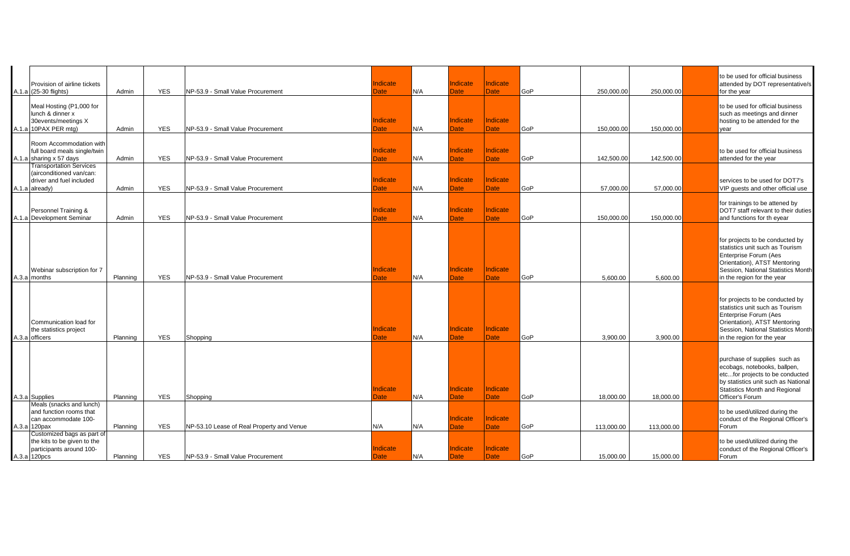| Provision of airline tickets<br>A.1.a (25-30 flights)                                                    | Admin    | <b>YES</b> | NP-53.9 - Small Value Procurement         | Indicate<br>Date               | N/A | <b>Indicate</b><br><b>Date</b> | Indicate<br><b>Date</b>        | GoP | 250,000.00 | 250,000.00 | to be used for official business<br>attended by DOT representative/s<br>for the year                                                                                                            |
|----------------------------------------------------------------------------------------------------------|----------|------------|-------------------------------------------|--------------------------------|-----|--------------------------------|--------------------------------|-----|------------|------------|-------------------------------------------------------------------------------------------------------------------------------------------------------------------------------------------------|
| Meal Hosting (P1,000 for<br>lunch & dinner x<br>30events/meetings X<br>A.1.a 10PAX PER mtg)              | Admin    | <b>YES</b> | NP-53.9 - Small Value Procurement         | Indicate<br>Date               | N/A | Indicate<br>Date               | <b>Indicate</b><br><b>Date</b> | GoP | 150,000.00 | 150,000.00 | to be used for official business<br>such as meetings and dinner<br>hosting to be attended for the<br>year                                                                                       |
| Room Accommodation with<br>full board meals single/twin<br>A.1.a sharing x 57 days                       | Admin    | <b>YES</b> | NP-53.9 - Small Value Procurement         | <b>Indicate</b><br>Date        | N/A | <b>Indicate</b><br><b>Date</b> | <b>Indicate</b><br><b>Date</b> | GoP | 142,500.00 | 142,500.00 | to be used for official business<br>attended for the year                                                                                                                                       |
| <b>Transportation Services</b><br>(airconditioned van/can:<br>driver and fuel included<br>A.1.a already) | Admin    | <b>YES</b> | NP-53.9 - Small Value Procurement         | <b>Indicate</b><br>Date        | N/A | Indicate<br><b>Date</b>        | <b>Indicate</b><br><b>Date</b> | GoP | 57,000.00  | 57,000.00  | services to be used for DOT7's<br>VIP guests and other official use                                                                                                                             |
| Personnel Training &<br>A.1.a Development Seminar                                                        | Admin    | <b>YES</b> | NP-53.9 - Small Value Procurement         | <b>Indicate</b><br><b>Date</b> | N/A | <b>Indicate</b><br><b>Date</b> | <b>Indicate</b><br><b>Date</b> | GoP | 150,000.00 | 150,000.00 | for trainings to be attened by<br>DOT7 staff relevant to their duties<br>and functions for th eyear                                                                                             |
| Webinar subscription for 7<br>A.3.a months                                                               | Planning | <b>YES</b> | NP-53.9 - Small Value Procurement         | <b>Indicate</b><br>Date        | N/A | Indicate<br><b>Date</b>        | <b>Indicate</b><br><b>Date</b> | GoP | 5,600.00   | 5,600.00   | for projects to be conducted by<br>statistics unit such as Tourism<br>Enterprise Forum (Aes<br>Orientation), ATST Mentoring<br>Session, National Statistics Month<br>in the region for the year |
| Communication load for<br>the statistics project<br>A.3.a officers                                       | Planning | <b>YES</b> | Shopping                                  | Indicate<br>Date               | N/A | Indicate<br><b>Date</b>        | Indicate<br><b>Date</b>        | GoP | 3,900.00   | 3,900.00   | for projects to be conducted by<br>statistics unit such as Tourism<br>Enterprise Forum (Aes<br>Orientation), ATST Mentoring<br>Session, National Statistics Month<br>in the region for the year |
| A.3.a Supplies                                                                                           | Planning | <b>YES</b> | Shopping                                  | Indicate<br>Date               | N/A | <b>Indicate</b><br><b>Date</b> | <b>Indicate</b><br><b>Date</b> | GoP | 18,000.00  | 18,000.00  | purchase of supplies such as<br>ecobags, notebooks, ballpen,<br>etcfor projects to be conducted<br>by statistics unit such as National<br>Statistics Month and Regional<br>Officer's Forum      |
| Meals (snacks and lunch)<br>and function rooms that<br>can accommodate 100-<br>A.3.a 120pax              | Planning | <b>YES</b> | NP-53.10 Lease of Real Property and Venue | N/A                            | N/A | <b>Indicate</b><br><b>Date</b> | Indicate<br><b>Date</b>        | GoP | 113,000.00 | 113,000.00 | to be used/utilized during the<br>conduct of the Regional Officer's<br>Forum                                                                                                                    |
| Customized bags as part of<br>the kits to be given to the<br>participants around 100-<br>A.3.a 120pcs    | Planning | <b>YES</b> | NP-53.9 - Small Value Procurement         | Indicate<br>Date               | N/A | Indicate<br><b>Date</b>        | <b>Indicate</b><br><b>Date</b> | GoP | 15,000.00  | 15,000.00  | to be used/utilized during the<br>conduct of the Regional Officer's<br>Forum                                                                                                                    |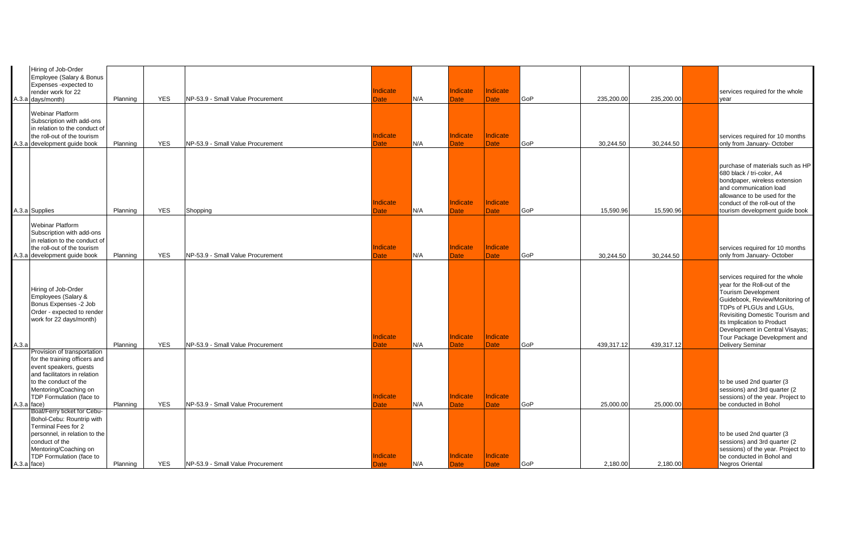|             | Hiring of Job-Order<br>Employee (Salary & Bonus<br>Expenses -expected to<br>render work for 22<br>A.3.a days/month)                                                                                           | Planning | <b>YES</b> | NP-53.9 - Small Value Procurement | Indicate<br>Date        | N/A | <b>Indicate</b><br><b>Date</b> | Indicate<br><b>Date</b>        | GoP | 235,200.00 | 235,200.00 | services required for the whole<br>year                                                                                                                                                                                                                                                                                    |
|-------------|---------------------------------------------------------------------------------------------------------------------------------------------------------------------------------------------------------------|----------|------------|-----------------------------------|-------------------------|-----|--------------------------------|--------------------------------|-----|------------|------------|----------------------------------------------------------------------------------------------------------------------------------------------------------------------------------------------------------------------------------------------------------------------------------------------------------------------------|
|             | <b>Webinar Platform</b><br>Subscription with add-ons<br>in relation to the conduct of<br>the roll-out of the tourism                                                                                          |          |            |                                   | <b>Indicate</b>         |     | Indicate                       | <b>Indicate</b>                |     |            |            | services required for 10 months                                                                                                                                                                                                                                                                                            |
|             | A.3.a development guide book                                                                                                                                                                                  | Planning | <b>YES</b> | NP-53.9 - Small Value Procurement | Date                    | N/A | Date                           | <b>Date</b>                    | GoP | 30,244.50  | 30,244.50  | only from January- October                                                                                                                                                                                                                                                                                                 |
|             | A.3.a Supplies                                                                                                                                                                                                | Planning | <b>YES</b> | Shopping                          | Indicate<br>Date        | N/A | Indicate<br>Date               | Indicate<br><b>Date</b>        | GoP | 15,590.96  | 15,590.96  | purchase of materials such as HP<br>680 black / tri-color, A4<br>bondpaper, wireless extension<br>and communication load<br>allowance to be used for the<br>conduct of the roll-out of the<br>tourism development guide book                                                                                               |
|             |                                                                                                                                                                                                               |          |            |                                   |                         |     |                                |                                |     |            |            |                                                                                                                                                                                                                                                                                                                            |
|             | <b>Webinar Platform</b><br>Subscription with add-ons<br>in relation to the conduct of<br>the roll-out of the tourism<br>A.3.a development guide book                                                          | Planning | <b>YES</b> | NP-53.9 - Small Value Procurement | Indicate<br>Date        | N/A | <b>Indicate</b><br>Date        | <b>Indicate</b><br><b>Date</b> | GoP | 30,244.50  | 30,244.50  | services required for 10 months<br>only from January- October                                                                                                                                                                                                                                                              |
| A.3.a       | Hiring of Job-Order<br>Employees (Salary &<br>Bonus Expenses -2 Job<br>Order - expected to render<br>work for 22 days/month)                                                                                  | Planning | <b>YES</b> | NP-53.9 - Small Value Procurement | <b>Indicate</b><br>Date | N/A | <b>Indicate</b><br><b>Date</b> | Indicate<br>Date               | GoP | 439,317.12 | 439,317.12 | services required for the whole<br>year for the Roll-out of the<br><b>Tourism Development</b><br>Guidebook, Review/Monitoring of<br>TDPs of PLGUs and LGUs,<br>Revisiting Domestic Tourism and<br>its Implication to Product<br>Development in Central Visayas;<br>Tour Package Development and<br><b>Delivery Seminar</b> |
| A.3.a face) | Provision of transportation<br>for the training officers and<br>event speakers, guests<br>and facilitators in relation<br>to the conduct of the<br>Mentoring/Coaching on<br>TDP Formulation (face to          | Planning | <b>YES</b> | NP-53.9 - Small Value Procurement | <b>Indicate</b><br>Date | N/A | Indicate<br>Date               | Indicate<br><b>Date</b>        | GoP | 25,000.00  | 25,000.00  | to be used 2nd quarter (3)<br>sessions) and 3rd quarter (2)<br>sessions) of the year. Project to<br>be conducted in Bohol                                                                                                                                                                                                  |
|             | Boat/Ferry ticket for Cebu-<br>Bohol-Cebu: Rountrip with<br><b>Terminal Fees for 2</b><br>personnel, in relation to the<br>conduct of the<br>Mentoring/Coaching on<br>TDP Formulation (face to<br>A.3.a face) | Planning | <b>YES</b> | NP-53.9 - Small Value Procurement | Indicate<br><b>Date</b> | N/A | <b>Indicate</b><br>Date        | Indicate<br><b>Date</b>        | GoP | 2,180.00   | 2,180.00   | to be used 2nd quarter (3<br>sessions) and 3rd quarter (2)<br>sessions) of the year. Project to<br>be conducted in Bohol and<br>Negros Oriental                                                                                                                                                                            |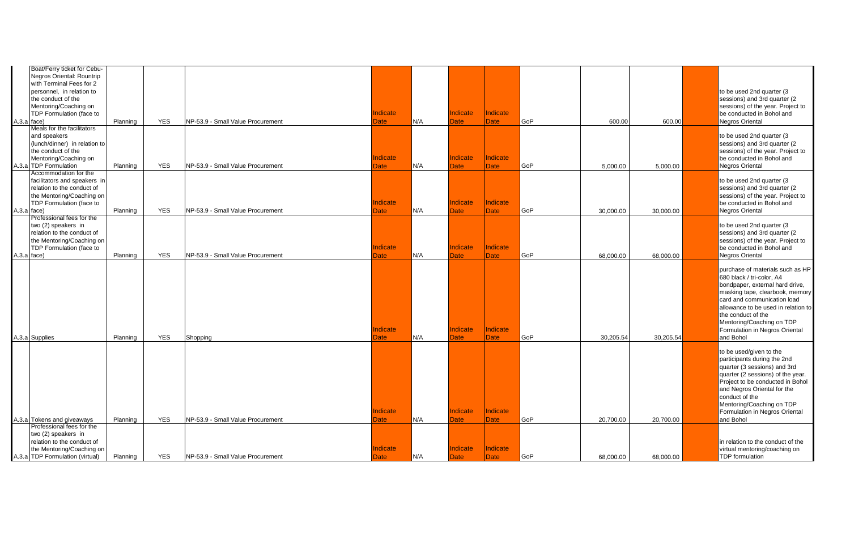| Boat/Ferry ticket for Cebu-<br>Negros Oriental: Rountrip<br>with Terminal Fees for 2<br>personnel, in relation to<br>the conduct of the<br>Mentoring/Coaching on |          |            |                                   |                         |     |                         |                         |     |           |           | to be used 2nd quarter (3<br>sessions) and 3rd quarter (2<br>sessions) of the year. Project to                                                                                                                                                                                                              |
|------------------------------------------------------------------------------------------------------------------------------------------------------------------|----------|------------|-----------------------------------|-------------------------|-----|-------------------------|-------------------------|-----|-----------|-----------|-------------------------------------------------------------------------------------------------------------------------------------------------------------------------------------------------------------------------------------------------------------------------------------------------------------|
| TDP Formulation (face to<br>A.3.a face)                                                                                                                          | Planning | <b>YES</b> | NP-53.9 - Small Value Procurement | <b>Indicate</b><br>Date | N/A | Indicate<br>Date        | Indicate<br><b>Date</b> | GoP | 600.00    | 600.00    | be conducted in Bohol and<br><b>Negros Oriental</b>                                                                                                                                                                                                                                                         |
| Meals for the facilitators<br>and speakers<br>(lunch/dinner) in relation to<br>the conduct of the<br>Mentoring/Coaching on<br>A.3.a TDP Formulation              | Planning | <b>YES</b> | NP-53.9 - Small Value Procurement | Indicate<br>Date        | N/A | Indicate<br>Date        | Indicate<br>Date        | GoP | 5.000.00  | 5.000.00  | to be used 2nd quarter (3<br>sessions) and 3rd quarter (2<br>sessions) of the year. Project to<br>be conducted in Bohol and<br>Negros Oriental                                                                                                                                                              |
| Accommodation for the<br>facilitators and speakers in<br>relation to the conduct of<br>the Mentoring/Coaching on<br>TDP Formulation (face to<br>A.3.a face)      | Planning | <b>YES</b> | NP-53.9 - Small Value Procurement | Indicate<br>Date        | N/A | Indicate<br>Date        | Indicate<br>Date        | GoP | 30,000.00 | 30,000.00 | to be used 2nd quarter (3<br>sessions) and 3rd quarter (2)<br>sessions) of the year. Project to<br>be conducted in Bohol and<br><b>Negros Oriental</b>                                                                                                                                                      |
| Professional fees for the<br>two (2) speakers in<br>relation to the conduct of<br>the Mentoring/Coaching on<br>TDP Formulation (face to<br>A.3.a face)           | Planning | <b>YES</b> | NP-53.9 - Small Value Procurement | <b>Indicate</b><br>Date | N/A | Indicate<br><b>Date</b> | Indicate<br>Date        | GoP | 68,000.00 | 68,000.00 | to be used 2nd quarter (3<br>sessions) and 3rd quarter (2)<br>sessions) of the year. Project to<br>be conducted in Bohol and<br><b>Negros Oriental</b>                                                                                                                                                      |
| A.3.a Supplies                                                                                                                                                   | Planning | <b>YES</b> | Shopping                          | Indicate<br>Date        | N/A | Indicate<br>Date        | Indicate<br><b>Date</b> | GoP | 30,205.54 | 30,205.54 | purchase of materials such as HP<br>680 black / tri-color, A4<br>bondpaper, external hard drive,<br>masking tape, clearbook, memory<br>card and communication load<br>allowance to be used in relation to<br>the conduct of the<br>Mentoring/Coaching on TDP<br>Formulation in Negros Oriental<br>and Bohol |
| A.3.a Tokens and giveaways                                                                                                                                       | Planning | <b>YES</b> | NP-53.9 - Small Value Procurement | Indicate<br>Date        | N/A | Indicate<br>Date        | Indicate<br><b>Date</b> | GoP | 20,700.00 | 20,700.00 | to be used/given to the<br>participants during the 2nd<br>quarter (3 sessions) and 3rd<br>quarter (2 sessions) of the year.<br>Project to be conducted in Bohol<br>and Negros Oriental for the<br>conduct of the<br>Mentoring/Coaching on TDP<br>Formulation in Negros Oriental<br>and Bohol                |
| Professional fees for the<br>two (2) speakers in<br>relation to the conduct of<br>the Mentoring/Coaching on<br>A.3.a TDP Formulation (virtual)                   | Planning | <b>YES</b> | NP-53.9 - Small Value Procurement | Indicate<br>Date        | N/A | Indicate<br>Date        | Indicate<br><b>Date</b> | GoP | 68,000.00 | 68,000.00 | in relation to the conduct of the<br>virtual mentoring/coaching on<br>TDP formulation                                                                                                                                                                                                                       |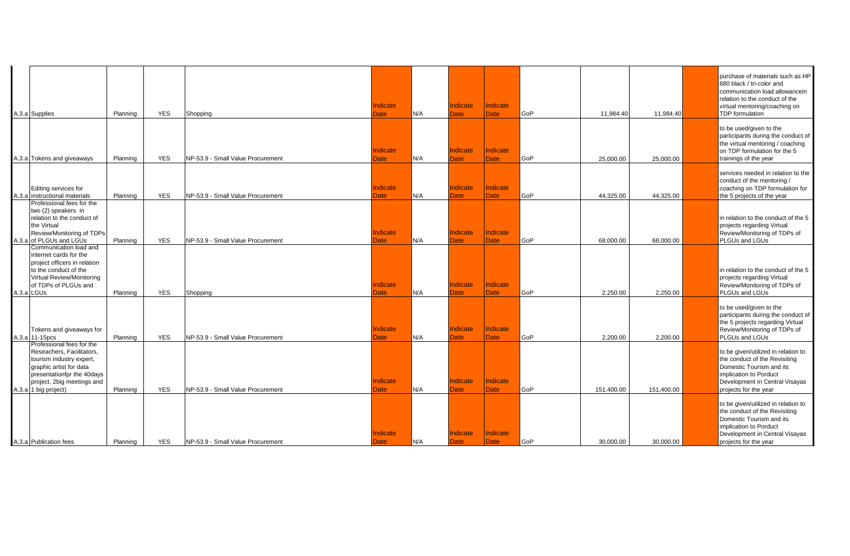| A.3.a Supplies                                                                                                                                                                                    | Planning | <b>YES</b> | Shopping                          | Indicate<br>Date        | N/A | Indicate<br>Date        | Indicate<br><b>Date</b>        | GoP | 11,984.40  | 11,984.40  | purchase of materials such as HP<br>680 black / tri-color and<br>communication load allowancein<br>relation to the conduct of the<br>virtual mentoring/coaching on<br>TDP formulation |
|---------------------------------------------------------------------------------------------------------------------------------------------------------------------------------------------------|----------|------------|-----------------------------------|-------------------------|-----|-------------------------|--------------------------------|-----|------------|------------|---------------------------------------------------------------------------------------------------------------------------------------------------------------------------------------|
| A.3.a Tokens and giveaways                                                                                                                                                                        | Planning | <b>YES</b> | NP-53.9 - Small Value Procurement | Indicate<br><b>Date</b> | N/A | Indicate<br><b>Date</b> | Indicate<br><b>Date</b>        | GoP | 25,000.00  | 25,000.00  | to be used/given to the<br>participants during the conduct of<br>the virtual mentoring / coaching<br>on TDP formulation for the 5<br>trainings of the year                            |
| Editing services for<br>A.3.a instructional materials                                                                                                                                             | Planning | <b>YES</b> | NP-53.9 - Small Value Procurement | Indicate<br>Date        | N/A | Indicate<br>Date:       | Indicate<br>Date               | GoP | 44.325.00  | 44.325.00  | services needed in relation to the<br>conduct of the mentoring /<br>coaching on TDP formulation for<br>the 5 projects of the year                                                     |
| Professional fees for the<br>two (2) speakers in<br>relation to the conduct of<br>the Virtual<br>Review/Monitoring of TDPs<br>A.3.a of PLGUs and LGUs                                             | Planning | <b>YES</b> | NP-53.9 - Small Value Procurement | Indicate<br>Date        | N/A | Indicate<br>Date        | Indicate<br><b>Date</b>        | GoP | 68.000.00  | 68,000.00  | in relation to the conduct of the 5<br>projects regarding Virtual<br>Review/Monitoring of TDPs of<br>PLGUs and LGUs                                                                   |
| Communication load and<br>internet cards for the<br>project officers in relation<br>to the conduct of the<br>Virtual Review/Monitoring<br>of TDPs of PLGUs and<br>A.3.a LGUs                      | Planning | <b>YES</b> | Shopping                          | Indicate<br>Date        | N/A | Indicate<br>Date        | <b>Indicate</b><br><b>Date</b> | GoP | 2.250.00   | 2,250.00   | in relation to the conduct of the 5<br>projects regarding Virtual<br>Review/Monitoring of TDPs of<br>PLGUs and LGUs                                                                   |
| Tokens and giveaways for<br>A.3.a 11-15pcs                                                                                                                                                        | Planning | <b>YES</b> | NP-53.9 - Small Value Procurement | Indicate<br>Date        | N/A | Indicate<br>Date        | Indicate<br><b>Date</b>        | GoP | 2.200.00   | 2,200.00   | to be used/given to the<br>participants during the conduct of<br>the 5 projects regarding Virtual<br>Review/Monitoring of TDPs of<br>PLGUs and LGUs                                   |
| Professional fees for the<br>Reseachers, Facilitators,<br>tourism industry expert,<br>graphic artist for data<br>presentationfpr the 40days<br>project, 2big meetings and<br>A.3.a 1 big project) | Planning | <b>YES</b> | NP-53.9 - Small Value Procurement | Indicate<br>Date        | N/A | Indicate<br>Date        | Indicate<br><b>Date</b>        | GoP | 151.400.00 | 151,400.00 | to be given/utilized in relation to<br>the conduct of the Revisiting<br>Domestic Tourism and its<br>implication to Porduct<br>Development in Central Visayas<br>projects for the year |
| A.3.a Publication fees                                                                                                                                                                            | Planning | <b>YES</b> | NP-53.9 - Small Value Procurement | ndicate<br>Date         | N/A | Indicate<br>Date        | Indicate<br><b>Date</b>        | GoP | 30,000.00  | 30,000.00  | to be given/utilized in relation to<br>the conduct of the Revisiting<br>Domestic Tourism and its<br>implication to Porduct<br>Development in Central Visayas<br>projects for the year |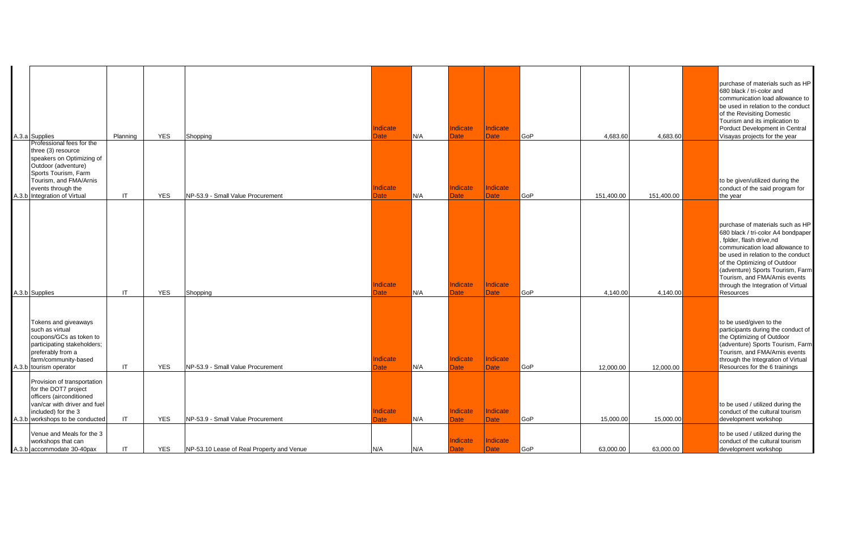| A.3.a Supplies                                                                                                                                                                                                                                             | Planning                               | <b>YES</b>               | Shopping                                                                       | Indicate<br>Date               | N/A        | Indicate<br>Date                            | Indicate<br><b>Date</b>                     | GoP               | 4,683.60               | 4,683.60               | purchase of materials such as HP<br>680 black / tri-color and<br>communication load allowance to<br>be used in relation to the conduct<br>of the Revisiting Domestic<br>Tourism and its implication to<br>Porduct Development in Central<br>Visayas projects for the year                                                         |
|------------------------------------------------------------------------------------------------------------------------------------------------------------------------------------------------------------------------------------------------------------|----------------------------------------|--------------------------|--------------------------------------------------------------------------------|--------------------------------|------------|---------------------------------------------|---------------------------------------------|-------------------|------------------------|------------------------|-----------------------------------------------------------------------------------------------------------------------------------------------------------------------------------------------------------------------------------------------------------------------------------------------------------------------------------|
| Professional fees for the<br>three (3) resource<br>speakers on Optimizing of<br>Outdoor (adventure)<br>Sports Tourism, Farm<br>Tourism, and FMA/Arnis<br>events through the<br>A.3.b Integration of Virtual                                                | IT                                     | <b>YES</b>               | NP-53.9 - Small Value Procurement                                              | <b>Indicate</b><br>Date        | N/A        | Indicate<br><b>Date</b>                     | Indicate<br>Date                            | GoP               | 151,400.00             | 151,400.00             | to be given/utilized during the<br>conduct of the said program for<br>the year                                                                                                                                                                                                                                                    |
| A.3.b Supplies                                                                                                                                                                                                                                             | $\mathsf{I}$                           | <b>YES</b>               | Shopping                                                                       | Indicate<br><b>Date</b>        | N/A        | Indicate<br><b>Date</b>                     | <b>Indicate</b><br><b>Date</b>              | GoP               | 4,140.00               | 4.140.00               | purchase of materials such as HP<br>680 black / tri-color A4 bondpaper<br>fplder, flash drive,nd<br>communication load allowance to<br>be used in relation to the conduct<br>of the Optimizing of Outdoor<br>(adventure) Sports Tourism, Farm<br>Tourism, and FMA/Arnis events<br>through the Integration of Virtual<br>Resources |
| Tokens and giveaways<br>such as virtual<br>coupons/GCs as token to<br>participating stakeholders;<br>preferably from a<br>farm/community-based<br>A.3.b tourism operator                                                                                   | IT                                     | <b>YES</b>               | NP-53.9 - Small Value Procurement                                              | Indicate<br>Date               | N/A        | Indicate<br>Date                            | Indicate<br><b>Date</b>                     | GoP               | 12,000.00              | 12,000.00              | to be used/given to the<br>participants during the conduct of<br>the Optimizing of Outdoor<br>(adventure) Sports Tourism, Farm<br>Tourism, and FMA/Arnis events<br>through the Integration of Virtual<br>Resources for the 6 trainings                                                                                            |
| Provision of transportation<br>for the DOT7 project<br>officers (airconditioned<br>van/car with driver and fuel<br>included) for the 3<br>A.3.b workshops to be conducted<br>Venue and Meals for the 3<br>workshops that can<br>A.3.b accommodate 30-40pax | $\mathsf{I}\mathsf{T}$<br>$\mathsf{I}$ | <b>YES</b><br><b>YES</b> | NP-53.9 - Small Value Procurement<br>NP-53.10 Lease of Real Property and Venue | <b>Indicate</b><br>Date<br>N/A | N/A<br>N/A | Indicate<br><b>Date</b><br>Indicate<br>Date | Indicate<br><b>Date</b><br>Indicate<br>Date | GoP<br><b>GoP</b> | 15,000.00<br>63,000.00 | 15,000.00<br>63,000.00 | to be used / utilized during the<br>conduct of the cultural tourism<br>development workshop<br>to be used / utilized during the<br>conduct of the cultural tourism<br>development workshop                                                                                                                                        |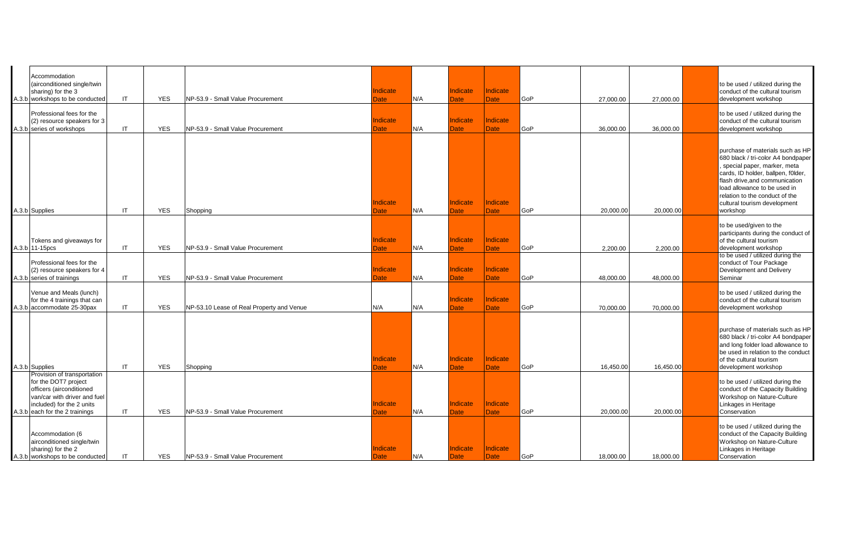| Accommodation<br>(airconditioned single/twin<br>sharing) for the 3<br>A.3.b workshops to be conducted                                                                          | IT  | <b>YES</b> | NP-53.9 - Small Value Procurement         | Indicate<br>Date        | N/A | Indicate<br><b>Date</b> | Indicate<br><b>Date</b> | GoP        | 27,000.00 | 27,000.00 | to be used / utilized during the<br>conduct of the cultural tourism<br>development workshop                                                                                                                                                                                                 |
|--------------------------------------------------------------------------------------------------------------------------------------------------------------------------------|-----|------------|-------------------------------------------|-------------------------|-----|-------------------------|-------------------------|------------|-----------|-----------|---------------------------------------------------------------------------------------------------------------------------------------------------------------------------------------------------------------------------------------------------------------------------------------------|
| Professional fees for the<br>(2) resource speakers for 3<br>A.3.b series of workshops                                                                                          | IT  | <b>YES</b> | NP-53.9 - Small Value Procurement         | Indicate<br>Date        | N/A | Indicate<br><b>Date</b> | Indicate<br><b>Date</b> | GoP        | 36,000.00 | 36,000.00 | to be used / utilized during the<br>conduct of the cultural tourism<br>development workshop                                                                                                                                                                                                 |
| A.3.b Supplies                                                                                                                                                                 | IT. | <b>YES</b> | Shopping                                  | <b>Indicate</b><br>Date | N/A | Indicate<br>Date:       | Indicate<br>Date        | GoP        | 20,000.00 | 20,000.00 | purchase of materials such as HP<br>680 black / tri-color A4 bondpaper<br>special paper, marker, meta<br>cards, ID holder, ballpen, f0lder,<br>flash drive, and communication<br>load allowance to be used in<br>relation to the conduct of the<br>cultural tourism development<br>workshop |
| Tokens and giveaways for<br>A.3.b 11-15pcs                                                                                                                                     | IT. | <b>YES</b> | NP-53.9 - Small Value Procurement         | Indicate<br>Date        | N/A | Indicate<br>Date:       | Indicate<br>Date        | GoP        | 2.200.00  | 2,200.00  | to be used/given to the<br>participants during the conduct of<br>of the cultural tourism<br>development workshop                                                                                                                                                                            |
| Professional fees for the<br>(2) resource speakers for 4<br>A.3.b series of trainings                                                                                          | IT  | <b>YES</b> | NP-53.9 - Small Value Procurement         | Indicate<br><b>Date</b> | N/A | Indicate<br><b>Date</b> | Indicate<br><b>Date</b> | GoP        | 48,000.00 | 48,000.00 | to be used / utilized during the<br>conduct of Tour Package<br>Development and Delivery<br>Seminar                                                                                                                                                                                          |
| Venue and Meals (lunch)<br>for the 4 trainings that can<br>A.3.b accommodate 25-30pax                                                                                          | IT  | <b>YES</b> | NP-53.10 Lease of Real Property and Venue | N/A                     | N/A | Indicate<br>Date        | Indicate<br><b>Date</b> | GoP        | 70,000.00 | 70,000.00 | to be used / utilized during the<br>conduct of the cultural tourism<br>development workshop                                                                                                                                                                                                 |
| A.3.b Supplies                                                                                                                                                                 | IT  | <b>YES</b> | Shopping                                  | Indicate<br>Date        | N/A | Indicate<br>Date        | Indicate<br><b>Date</b> | GoP        | 16,450.00 | 16,450.00 | purchase of materials such as HP<br>680 black / tri-color A4 bondpaper<br>and long folder load allowance to<br>be used in relation to the conduct<br>of the cultural tourism<br>development workshop                                                                                        |
| Provision of transportation<br>for the DOT7 project<br>officers (airconditioned<br>van/car with driver and fuel<br>included) for the 2 units<br>A.3.b each for the 2 trainings | IT. | <b>YES</b> | NP-53.9 - Small Value Procurement         | Indicate<br>Date        | N/A | Indicate<br><b>Date</b> | Indicate<br>Date        | GoP        | 20,000.00 | 20,000.00 | to be used / utilized during the<br>conduct of the Capacity Building<br>Workshop on Nature-Culture<br>Linkages in Heritage<br>Conservation                                                                                                                                                  |
| Accommodation (6<br>airconditioned single/twin<br>sharing) for the 2<br>A.3.b workshops to be conducted                                                                        | IT  | <b>YES</b> | NP-53.9 - Small Value Procurement         | Indicate<br>Date        | N/A | Indicate<br><b>Date</b> | Indicate<br><b>Date</b> | <b>GoP</b> | 18,000.00 | 18,000.00 | to be used / utilized during the<br>conduct of the Capacity Building<br>Workshop on Nature-Culture<br>Linkages in Heritage<br>Conservation                                                                                                                                                  |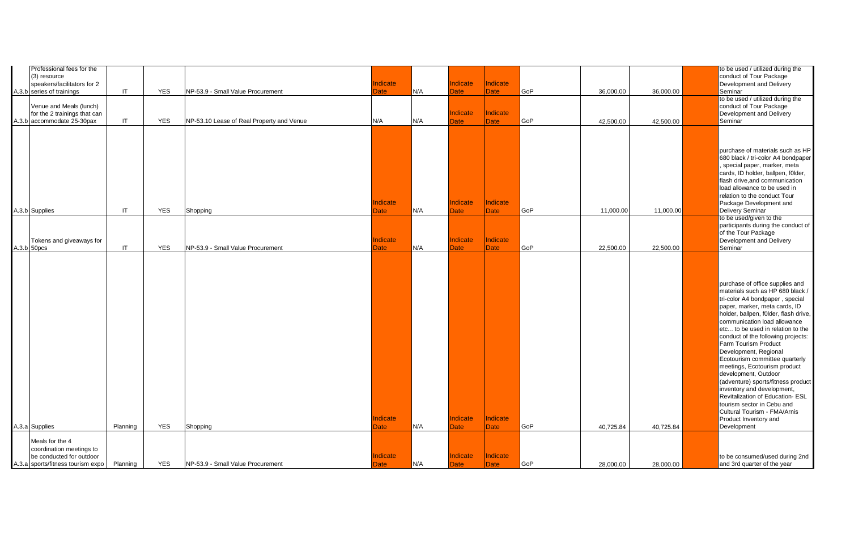| Professional fees for the<br>(3) resource<br>speakers/facilitators for 2<br>A.3.b series of trainings | $\mathsf{I}\mathsf{T}$ | <b>YES</b> | NP-53.9 - Small Value Procurement         | Indicate<br>Date        | N/A | Indicate<br><b>Date</b> | <b>Indicate</b><br><b>Date</b> | GoP | 36,000.00 | 36,000.00 | to be used / utilized during the<br>conduct of Tour Package<br>Development and Delivery<br>Seminar                                                                                                                                                                                                                                                                                                                                                                                                                                                                                                                                                   |
|-------------------------------------------------------------------------------------------------------|------------------------|------------|-------------------------------------------|-------------------------|-----|-------------------------|--------------------------------|-----|-----------|-----------|------------------------------------------------------------------------------------------------------------------------------------------------------------------------------------------------------------------------------------------------------------------------------------------------------------------------------------------------------------------------------------------------------------------------------------------------------------------------------------------------------------------------------------------------------------------------------------------------------------------------------------------------------|
| Venue and Meals (lunch)<br>for the 2 trainings that can<br>A.3.b accommodate 25-30pax                 | IT                     | <b>YES</b> | NP-53.10 Lease of Real Property and Venue | N/A                     | N/A | Indicate<br><b>Date</b> | Indicate<br><b>Date</b>        | GoP | 42,500.00 | 42,500.00 | to be used / utilized during the<br>conduct of Tour Package<br>Development and Delivery<br>Seminar                                                                                                                                                                                                                                                                                                                                                                                                                                                                                                                                                   |
| A.3.b Supplies                                                                                        | $\mathsf{I}\mathsf{T}$ | <b>YES</b> | Shopping                                  | <b>Indicate</b><br>Date | N/A | Indicate<br>Date        | Indicate<br><b>Date</b>        | GoP | 11,000.00 | 11,000.00 | purchase of materials such as HP<br>680 black / tri-color A4 bondpaper<br>special paper, marker, meta<br>cards, ID holder, ballpen, f0lder,<br>flash drive, and communication<br>load allowance to be used in<br>relation to the conduct Tour<br>Package Development and<br><b>Delivery Seminar</b>                                                                                                                                                                                                                                                                                                                                                  |
| Tokens and giveaways for<br>A.3.b 50pcs                                                               | $\mathsf{I}\mathsf{T}$ | <b>YES</b> | NP-53.9 - Small Value Procurement         | <b>Indicate</b><br>Date | N/A | Indicate<br><b>Date</b> | Indicate<br>Date               | GoP | 22,500.00 | 22,500.00 | to be used/given to the<br>participants during the conduct of<br>of the Tour Package<br>Development and Delivery<br>Seminar                                                                                                                                                                                                                                                                                                                                                                                                                                                                                                                          |
| A.3.a Supplies                                                                                        | Planning               | <b>YES</b> | Shopping                                  | <b>Indicate</b><br>Date | N/A | Indicate<br><b>Date</b> | Indicate<br><b>Date</b>        | GoP | 40,725.84 | 40,725.84 | purchase of office supplies and<br>materials such as HP 680 black /<br>tri-color A4 bondpaper, special<br>paper, marker, meta cards, ID<br>holder, ballpen, f0lder, flash drive,<br>communication load allowance<br>etc to be used in relation to the<br>conduct of the following projects:<br>Farm Tourism Product<br>Development, Regional<br>Ecotourism committee quarterly<br>meetings, Ecotourism product<br>development, Outdoor<br>(adventure) sports/fitness product<br>inventory and development,<br>Revitalization of Education- ESL<br>tourism sector in Cebu and<br>Cultural Tourism - FMA/Arnis<br>Product Inventory and<br>Development |
| Meals for the 4<br>coordination meetings to<br>be conducted for outdoor                               |                        |            |                                           | ndicate                 |     | Indicate                | <b>Indicate</b>                |     |           |           | to be consumed/used during 2nd                                                                                                                                                                                                                                                                                                                                                                                                                                                                                                                                                                                                                       |
| A.3.a sports/fitness tourism expo                                                                     | Planning               | <b>YES</b> | NP-53.9 - Small Value Procurement         | Date                    | N/A | Date                    | Date                           | GoP | 28,000.00 | 28,000.00 | and 3rd quarter of the year                                                                                                                                                                                                                                                                                                                                                                                                                                                                                                                                                                                                                          |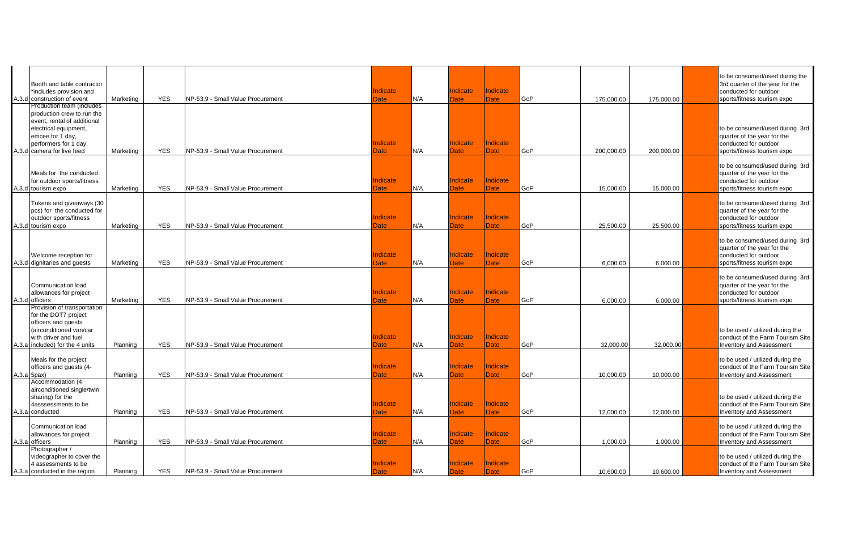|             | Booth and table contractor<br>*includes provision and<br>A.3.d construction of event                                                                                                       | Marketing | <b>YES</b> | NP-53.9 - Small Value Procurement | Indicate<br>Date               | N/A | Indicate<br>Date         | <b>Indicate</b><br><b>Date</b> | GoP        | 175,000.00 | 175,000.00 | to be consumed/used during the<br>3rd quarter of the year for the<br>conducted for outdoor<br>sports/fitness tourism expo |
|-------------|--------------------------------------------------------------------------------------------------------------------------------------------------------------------------------------------|-----------|------------|-----------------------------------|--------------------------------|-----|--------------------------|--------------------------------|------------|------------|------------|---------------------------------------------------------------------------------------------------------------------------|
|             | Production team (includes<br>production crew to run the<br>event. rental of additional<br>electrical equipment,<br>emcee for 1 day,<br>performers for 1 day,<br>A.3.d camera for live feed | Marketing | <b>YES</b> | NP-53.9 - Small Value Procurement | <b>Indicate</b><br><b>Date</b> | N/A | <b>Indicate</b><br>Date  | <b>Indicate</b><br><b>Date</b> | GoP        | 200,000.00 | 200,000.00 | to be consumed/used during 3rd<br>quarter of the year for the<br>conducted for outdoor<br>sports/fitness tourism expo     |
|             | Meals for the conducted<br>for outdoor sports/fitness<br>A.3.d tourism expo                                                                                                                | Marketing | <b>YES</b> | NP-53.9 - Small Value Procurement | Indicate<br>Date               | N/A | <b>Indicate</b><br>Date  | <b>Indicate</b><br><b>Date</b> | <b>GoP</b> | 15,000.00  | 15,000.00  | to be consumed/used during 3rd<br>quarter of the year for the<br>conducted for outdoor<br>sports/fitness tourism expo     |
|             | Tokens and giveaways (30<br>pcs) for the conducted for<br>outdoor sports/fitness<br>A.3.d tourism expo                                                                                     | Marketing | <b>YES</b> | NP-53.9 - Small Value Procurement | Indicate<br>Date               | N/A | <b>Indicate</b><br>Date  | Indicate<br><b>Date</b>        | <b>GoP</b> | 25,500.00  | 25,500.00  | to be consumed/used during 3rd<br>quarter of the year for the<br>conducted for outdoor<br>sports/fitness tourism expo     |
|             | Welcome reception for<br>A.3.d dignitaries and quests                                                                                                                                      | Marketing | <b>YES</b> | NP-53.9 - Small Value Procurement | Indicate<br>Date               | N/A | <b>Indicate</b><br>Date  | <b>Indicate</b><br><b>Date</b> | GoP        | 6.000.00   | 6.000.00   | to be consumed/used during 3rd<br>quarter of the year for the<br>conducted for outdoor<br>sports/fitness tourism expo     |
|             | Communication load<br>allowances for project<br>A.3.d officers                                                                                                                             | Marketing | <b>YES</b> | NP-53.9 - Small Value Procurement | <b>Indicate</b><br>Date        | N/A | Indicate<br>Date         | <b>Indicate</b><br><b>Date</b> | <b>GoP</b> | 6,000.00   | 6,000.00   | to be consumed/used during 3rd<br>quarter of the year for the<br>conducted for outdoor<br>sports/fitness tourism expo     |
|             | Provision of transportation<br>for the DOT7 project<br>officers and guests<br>(airconditioned van/car<br>with driver and fuel<br>A.3.a included) for the 4 units                           | Planning  | <b>YES</b> | NP-53.9 - Small Value Procurement | Indicate<br>Date               | N/A | Indicate<br>Date         | Indicate<br><b>Date</b>        | GoP        | 32,000.00  | 32,000.00  | to be used / utilized during the<br>conduct of the Farm Tourism Site<br><b>Inventory and Assessment</b>                   |
| A.3.a 5pax) | Meals for the project<br>officers and guests (4-                                                                                                                                           | Planning  | <b>YES</b> | NP-53.9 - Small Value Procurement | Indicate<br>Date               | N/A | <b>Indicate</b><br>Date  | <b>Indicate</b><br><b>Date</b> | <b>GoP</b> | 10,000.00  | 10,000.00  | to be used / utilized during the<br>conduct of the Farm Tourism Site<br><b>Inventory and Assessment</b>                   |
|             | Accommodation (4<br>airconditioned single/twin<br>sharing) for the<br>4asssessments to be<br>A.3.a conducted                                                                               | Planning  | <b>YES</b> | NP-53.9 - Small Value Procurement | <b>Indicate</b><br>Date        | N/A | <b>Indicate</b><br>Date  | Indicate<br><b>Date</b>        | GoP        | 12,000.00  | 12,000.00  | to be used / utilized during the<br>conduct of the Farm Tourism Site<br><b>Inventory and Assessment</b>                   |
|             | Communication load<br>allowances for project<br>A.3.a officers                                                                                                                             | Planning  | <b>YES</b> | NP-53.9 - Small Value Procurement | Indicate<br>Date               | N/A | <b>Indicate</b><br>Date: | ndicate<br><b>Date</b>         | <b>GoP</b> | 1,000.00   | 1,000.00   | to be used / utilized during the<br>conduct of the Farm Tourism Site<br><b>Inventory and Assessment</b>                   |
|             | Photographer /<br>videographer to cover the<br>4 assessments to be<br>A.3.a conducted in the region                                                                                        | Planning  | <b>YES</b> | NP-53.9 - Small Value Procurement | Indicate<br>Date               | N/A | Indicate<br>Date         | <b>Indicate</b><br><b>Date</b> | <b>GoP</b> | 10.600.00  | 10.600.00  | to be used / utilized during the<br>conduct of the Farm Tourism Site<br><b>Inventory and Assessment</b>                   |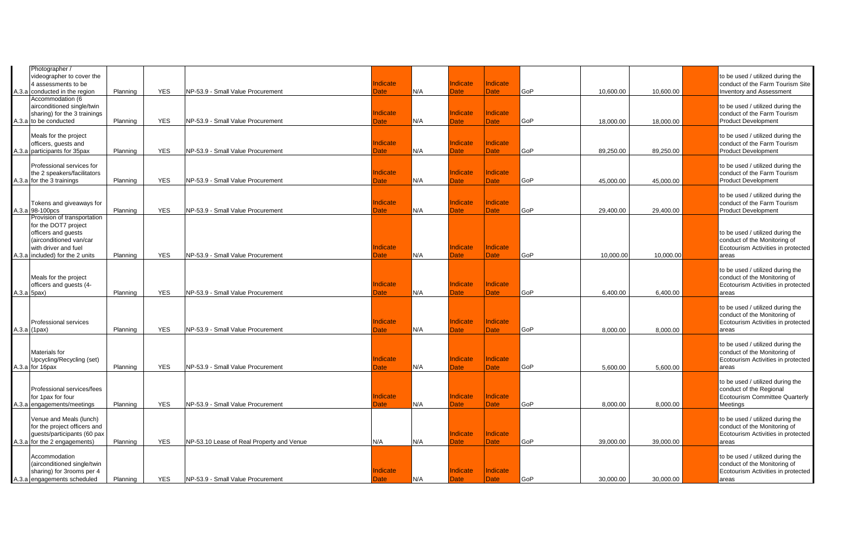|       | Photographer /<br>videographer to cover the<br>4 assessments to be                                                                                               |          |            |                                           | ndicate                 |     | Indicate                | Indicate                |     |           |           | to be used / utilized during the<br>conduct of the Farm Tourism Site                                             |
|-------|------------------------------------------------------------------------------------------------------------------------------------------------------------------|----------|------------|-------------------------------------------|-------------------------|-----|-------------------------|-------------------------|-----|-----------|-----------|------------------------------------------------------------------------------------------------------------------|
| A.3.a | conducted in the region                                                                                                                                          | Planning | <b>YES</b> | NP-53.9 - Small Value Procurement         | <b>Date</b>             | N/A | <b>Date</b>             | <b>Date</b>             | GoP | 10,600.00 | 10,600.00 | <b>Inventory and Assessment</b>                                                                                  |
|       | Accommodation (6<br>airconditioned single/twin<br>sharing) for the 3 trainings<br>A.3.a to be conducted                                                          | Planning | <b>YES</b> | NP-53.9 - Small Value Procurement         | ndicate<br>Date         | N/A | Indicate<br>Date        | Indicate<br><b>Date</b> | GoP | 18,000.00 | 18,000.00 | to be used / utilized during the<br>conduct of the Farm Tourism<br><b>Product Development</b>                    |
|       | Meals for the project<br>officers, guests and<br>A.3.a participants for 35pax                                                                                    | Planning | <b>YES</b> | NP-53.9 - Small Value Procurement         | ndicate<br>Date         | N/A | Indicate<br><b>Date</b> | Indicate<br><b>Date</b> | GoP | 89,250.00 | 89,250.00 | to be used / utilized during the<br>conduct of the Farm Tourism<br><b>Product Development</b>                    |
|       | Professional services for<br>the 2 speakers/facilitators<br>A.3.a for the 3 trainings                                                                            | Planning | <b>YES</b> | NP-53.9 - Small Value Procurement         | Indicate<br>Date        | N/A | Indicate<br>Date        | Indicate<br><b>Date</b> | GoP | 45,000.00 | 45,000.00 | to be used / utilized during the<br>conduct of the Farm Tourism<br><b>Product Development</b>                    |
|       | Tokens and giveaways for<br>A.3.a 98-100pcs                                                                                                                      | Planning | <b>YES</b> | NP-53.9 - Small Value Procurement         | ndicate<br>Date         | N/A | Indicate<br>Date        | Indicate<br><b>Date</b> | GoP | 29.400.00 | 29,400.00 | to be used / utilized during the<br>conduct of the Farm Tourism<br><b>Product Development</b>                    |
|       | Provision of transportation<br>for the DOT7 project<br>officers and guests<br>(airconditioned van/car<br>with driver and fuel<br>A.3.a included) for the 2 units | Planning | <b>YES</b> | NP-53.9 - Small Value Procurement         | ndicate<br>Date         | N/A | Indicate<br><b>Date</b> | Indicate<br><b>Date</b> | GoP | 10.000.00 | 10.000.00 | to be used / utilized during the<br>conduct of the Monitoring of<br>Ecotourism Activities in protected<br>areas  |
|       | Meals for the project<br>officers and guests (4-<br>A.3.a 5pax)                                                                                                  | Planning | <b>YES</b> | NP-53.9 - Small Value Procurement         | Indicate<br>Date        | N/A | Indicate<br><b>Date</b> | Indicate<br>Date        | GoP | 6,400.00  | 6,400.00  | to be used / utilized during the<br>conduct of the Monitoring of<br>Ecotourism Activities in protected<br>areas  |
|       | Professional services<br>$A.3.a$ (1pax)                                                                                                                          | Planning | <b>YES</b> | NP-53.9 - Small Value Procurement         | ndicate<br>Date         | N/A | Indicate<br><b>Date</b> | Indicate<br>Date        | GoP | 8,000.00  | 8,000.00  | to be used / utilized during the<br>conduct of the Monitoring of<br>Ecotourism Activities in protected<br>areas  |
|       | Materials for<br>Upcycling/Recycling (set)<br>A.3.a for 16pax                                                                                                    | Planning | <b>YES</b> | NP-53.9 - Small Value Procurement         | ndicate<br>Date         | N/A | Indicate<br>Date        | Indicate<br>Date        | GoP | 5.600.00  | 5.600.00  | to be used / utilized during the<br>conduct of the Monitoring of<br>Ecotourism Activities in protected<br>areas  |
|       | Professional services/fees<br>for 1pax for four<br>A.3.a engagements/meetings                                                                                    | Planning | <b>YES</b> | NP-53.9 - Small Value Procurement         | Indicate<br><b>Date</b> | N/A | Indicate<br>Date        | Indicate<br><b>Date</b> | GoP | 8,000.00  | 8,000.00  | to be used / utilized during the<br>conduct of the Regional<br><b>Ecotourism Committee Quarterly</b><br>Meetings |
|       | Venue and Meals (lunch)<br>for the project officers and<br>guests/participants (60 pax<br>A.3.a for the 2 engagements)                                           | Planning | <b>YES</b> | NP-53.10 Lease of Real Property and Venue | N/A                     | N/A | Indicate<br>Date        | Indicate<br>Date        | GoP | 39,000.00 | 39,000.00 | to be used / utilized during the<br>conduct of the Monitoring of<br>Ecotourism Activities in protected<br>areas  |
|       | Accommodation<br>(airconditioned single/twin<br>sharing) for 3rooms per 4<br>A.3.a engagements scheduled                                                         | Planning | <b>YES</b> | NP-53.9 - Small Value Procurement         | ndicate<br>Date         | N/A | Indicate<br><b>Date</b> | Indicate<br>Date        | GoP | 30.000.00 | 30.000.00 | to be used / utilized during the<br>conduct of the Monitoring of<br>Ecotourism Activities in protected<br>areas  |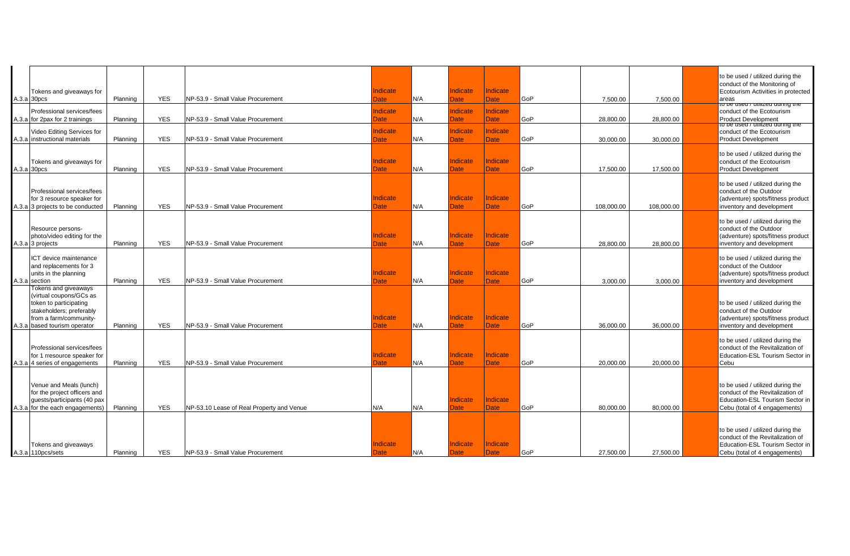|                                                                                                                                         |          |            |                                           |                         |     |                         |                         |     |            |            | to be used / utilized during the                                                                                                         |
|-----------------------------------------------------------------------------------------------------------------------------------------|----------|------------|-------------------------------------------|-------------------------|-----|-------------------------|-------------------------|-----|------------|------------|------------------------------------------------------------------------------------------------------------------------------------------|
| Tokens and giveaways for<br>A.3.a 30pcs                                                                                                 | Planning | <b>YES</b> | NP-53.9 - Small Value Procurement         | Indicate<br>Date        | N/A | Indicate<br>Date        | Indicate<br><b>Date</b> | GoP | 7,500.00   | 7,500.00   | conduct of the Monitoring of<br>Ecotourism Activities in protected<br>areas                                                              |
| Professional services/fees                                                                                                              |          |            |                                           | Indicate                |     | Indicate                | Indicate                |     |            |            | to be used / utilized during the<br>conduct of the Ecotourism                                                                            |
| A.3.a for 2pax for 2 trainings                                                                                                          | Planning | <b>YES</b> | NP-53.9 - Small Value Procurement         | Date                    | N/A | Date                    | <b>Date</b>             | GoP | 28,800.00  | 28,800.00  | Product Development<br>to be used / utilized during the                                                                                  |
| Video Editing Services for                                                                                                              |          |            |                                           | Indicate                |     | Indicate                | Indicate                |     |            |            | conduct of the Ecotourism                                                                                                                |
| A.3.a instructional materials                                                                                                           | Planning | <b>YES</b> | NP-53.9 - Small Value Procurement         | Date                    | N/A | Date                    | Date                    | GoP | 30.000.00  | 30.000.00  | <b>Product Development</b>                                                                                                               |
| Tokens and giveaways for                                                                                                                |          |            |                                           | Indicate                |     | Indicate                | Indicate                |     |            |            | to be used / utilized during the<br>conduct of the Ecotourism                                                                            |
| A.3.a 30pcs                                                                                                                             | Planning | <b>YES</b> | NP-53.9 - Small Value Procurement         | Date                    | N/A | Date                    | <b>Date</b>             | GoP | 17.500.00  | 17,500.00  | <b>Product Development</b>                                                                                                               |
| Professional services/fees<br>for 3 resource speaker for                                                                                |          |            |                                           | Indicate                |     | Indicate                | Indicate                |     |            |            | to be used / utilized during the<br>conduct of the Outdoor<br>(adventure) spots/fitness product                                          |
| A.3.a 3 projects to be conducted                                                                                                        | Planning | <b>YES</b> | NP-53.9 - Small Value Procurement         | Date                    | N/A | Date                    | Date:                   | GoP | 108.000.00 | 108,000.00 | inventory and development                                                                                                                |
| Resource persons-<br>photo/video editing for the<br>A.3.a 3 projects                                                                    | Planning | <b>YES</b> | NP-53.9 - Small Value Procurement         | Indicate<br><b>Date</b> | N/A | Indicate<br>Date        | Indicate<br><b>Date</b> | GoP | 28,800.00  | 28,800.00  | to be used / utilized during the<br>conduct of the Outdoor<br>(adventure) spots/fitness product<br>inventory and development             |
| ICT device maintenance<br>and replacements for 3<br>units in the planning<br>A.3.a section                                              | Planning | <b>YES</b> | NP-53.9 - Small Value Procurement         | <b>Indicate</b><br>Date | N/A | Indicate<br>Date        | Indicate<br><b>Date</b> | GoP | 3,000.00   | 3,000.00   | to be used / utilized during the<br>conduct of the Outdoor<br>(adventure) spots/fitness product<br>inventory and development             |
| Tokens and giveaways                                                                                                                    |          |            |                                           |                         |     |                         |                         |     |            |            |                                                                                                                                          |
| (virtual coupons/GCs as<br>token to participating<br>stakeholders; preferably<br>from a farm/community-<br>A.3.a based tourism operator | Planning | <b>YES</b> | NP-53.9 - Small Value Procurement         | <b>Indicate</b><br>Date | N/A | Indicate<br>Date        | Indicate<br><b>Date</b> | GoP | 36.000.00  | 36.000.00  | to be used / utilized during the<br>conduct of the Outdoor<br>(adventure) spots/fitness product<br>inventory and development             |
| Professional services/fees<br>for 1 rresource speaker for<br>A.3.a 4 series of engagements                                              | Planning | <b>YES</b> | NP-53.9 - Small Value Procurement         | <b>Indicate</b><br>Date | N/A | Indicate<br>Date        | Indicate<br><b>Date</b> | GoP | 20,000.00  | 20,000.00  | to be used / utilized during the<br>conduct of the Revitalization of<br>Education-ESL Tourism Sector in<br>Cebu                          |
| Venue and Meals (lunch)<br>for the project officers and<br>guests/participants (40 pax<br>A.3.a for the each engagements)               | Planning | <b>YES</b> | NP-53.10 Lease of Real Property and Venue | N/A                     | N/A | Indicate<br>Date        | Indicate<br><b>Date</b> | GoP | 80,000.00  | 80,000.00  | to be used / utilized during the<br>conduct of the Revitalization of<br>Education-ESL Tourism Sector in<br>Cebu (total of 4 engagements) |
| Tokens and giveaways<br>A.3.a 110pcs/sets                                                                                               | Planning | <b>YES</b> | NP-53.9 - Small Value Procurement         | Indicate<br><b>Date</b> | N/A | Indicate<br><b>Date</b> | Indicate<br><b>Date</b> | GoP | 27,500.00  | 27,500.00  | to be used / utilized during the<br>conduct of the Revitalization of<br>Education-ESL Tourism Sector in<br>Cebu (total of 4 engagements) |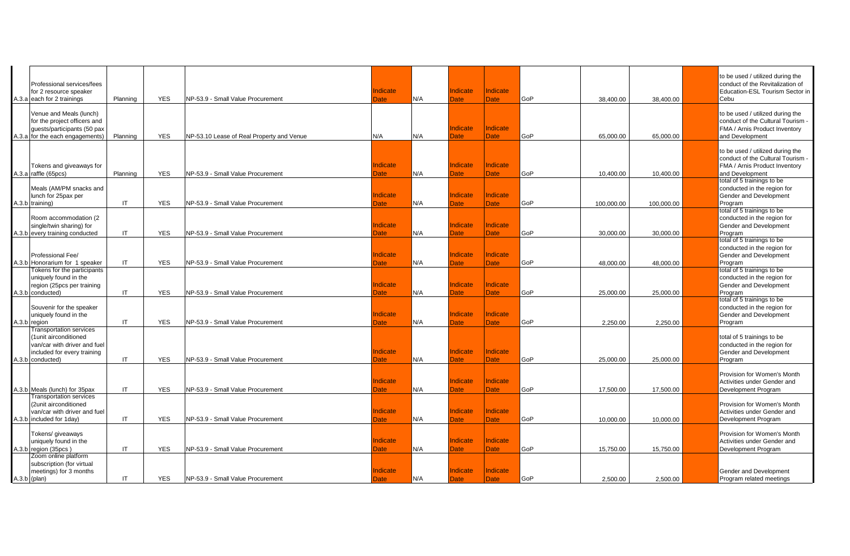| Professional services/fees<br>for 2 resource speaker<br>A.3.a each for 2 trainings                                        | Planning               | <b>YES</b> | NP-53.9 - Small Value Procurement         | Indicate<br><b>Date</b> | N/A | Indicate<br>Date        | Indicate<br><b>Date</b> | GoP | 38,400.00  | 38,400.00  | to be used / utilized during the<br>conduct of the Revitalization of<br>Education-ESL Tourism Sector in<br>Cebu              |
|---------------------------------------------------------------------------------------------------------------------------|------------------------|------------|-------------------------------------------|-------------------------|-----|-------------------------|-------------------------|-----|------------|------------|------------------------------------------------------------------------------------------------------------------------------|
| Venue and Meals (lunch)<br>for the project officers and<br>guests/participants (50 pax<br>A.3.a for the each engagements) | Planning               | <b>YES</b> | NP-53.10 Lease of Real Property and Venue | N/A                     | N/A | Indicate<br>Date        | Indicate<br><b>Date</b> | GoP | 65,000.00  | 65,000.00  | to be used / utilized during the<br>conduct of the Cultural Tourism<br>FMA / Arnis Product Inventory<br>and Development      |
| Tokens and giveaways for<br>A.3.a raffle (65pcs)                                                                          | Planning               | <b>YES</b> | NP-53.9 - Small Value Procurement         | Indicate<br>Date        | N/A | Indicate<br><b>Date</b> | Indicate<br><b>Date</b> | GoP | 10,400.00  | 10,400.00  | to be used / utilized during the<br>conduct of the Cultural Tourism<br>FMA / Arnis Product Inventory<br>and Development      |
| Meals (AM/PM snacks and<br>lunch for 25pax per<br>A.3.b training)                                                         | IT.                    | <b>YES</b> | NP-53.9 - Small Value Procurement         | Indicate<br><b>Date</b> | N/A | <b>Indicate</b><br>Date | Indicate<br>Date        | GoP | 100.000.00 | 100,000.00 | total of 5 trainings to be<br>conducted in the region for<br>Gender and Development<br>Program<br>total of 5 trainings to be |
| Room accommodation (2)<br>single/twin sharing) for<br>A.3.b every training conducted                                      | IT                     | <b>YES</b> | NP-53.9 - Small Value Procurement         | Indicate<br>Date        | N/A | Indicate<br>Date        | Indicate<br>Date        | GoP | 30,000.00  | 30,000.00  | conducted in the region for<br>Gender and Development<br>Program<br>total of 5 trainings to be                               |
| Professional Fee/<br>A.3.b Honorarium for 1 speaker<br>Tokens for the participants                                        | $\mathsf{I}\mathsf{T}$ | <b>YES</b> | NP-53.9 - Small Value Procurement         | Indicate<br><b>Date</b> | N/A | Indicate<br><b>Date</b> | Indicate<br><b>Date</b> | GoP | 48,000.00  | 48,000.00  | conducted in the region for<br>Gender and Development<br>Program<br>total of 5 trainings to be                               |
| uniquely found in the<br>region (25pcs per training<br>A.3.b conducted)                                                   | IT                     | <b>YES</b> | NP-53.9 - Small Value Procurement         | Indicate<br><b>Date</b> | N/A | <b>Indicate</b><br>Date | Indicate<br>Date        | GoP | 25,000.00  | 25,000.00  | conducted in the region for<br>Gender and Development<br>Program<br>total of 5 trainings to be                               |
| Souvenir for the speaker<br>uniquely found in the<br>A.3.b region<br><b>Transportation services</b>                       | IT                     | <b>YES</b> | NP-53.9 - Small Value Procurement         | Indicate<br>Date        | N/A | Indicate<br>Date        | Indicate<br><b>Date</b> | GoP | 2,250.00   | 2,250.00   | conducted in the region for<br>Gender and Development<br>Program                                                             |
| (1unit airconditioned<br>van/car with driver and fuel<br>included for every training<br>A.3.b conducted)                  | IT                     | <b>YES</b> | NP-53.9 - Small Value Procurement         | Indicate<br>Date        | N/A | Indicate<br>Date        | Indicate<br><b>Date</b> | GoP | 25,000.00  | 25,000.00  | total of 5 trainings to be<br>conducted in the region for<br>Gender and Development<br>Program                               |
| A.3.b Meals (lunch) for 35pax                                                                                             | IT                     | <b>YES</b> | NP-53.9 - Small Value Procurement         | Indicate<br>Date        | N/A | Indicate<br><b>Date</b> | Indicate<br>Date        | GoP | 17,500.00  | 17,500.00  | Provision for Women's Month<br>Activities under Gender and<br>Development Program                                            |
| <b>Transportation services</b><br>(2unit airconditioned<br>van/car with driver and fuel<br>A.3.b included for 1day)       | IT                     | <b>YES</b> | NP-53.9 - Small Value Procurement         | Indicate<br>Date        | N/A | Indicate<br>Date        | Indicate<br><b>Date</b> | GoP | 10,000.00  | 10,000.00  | Provision for Women's Month<br>Activities under Gender and<br>Development Program                                            |
| Tokens/ giveaways<br>uniquely found in the<br>A.3.b region (35pcs)<br>Zoom online platform                                | IT                     | <b>YES</b> | NP-53.9 - Small Value Procurement         | Indicate<br>Date        | N/A | Indicate<br><b>Date</b> | Indicate<br><b>Date</b> | GoP | 15,750.00  | 15,750.00  | Provision for Women's Month<br>Activities under Gender and<br>Development Program                                            |
| subscription (for virtual<br>meetings) for 3 months<br>$A.3.b$ (plan)                                                     | IT                     | <b>YES</b> | NP-53.9 - Small Value Procurement         | Indicate<br><b>Date</b> | N/A | Indicate<br><b>Date</b> | Indicate<br>Date        | GoP | 2.500.00   | 2.500.00   | Gender and Development<br>Program related meetings                                                                           |